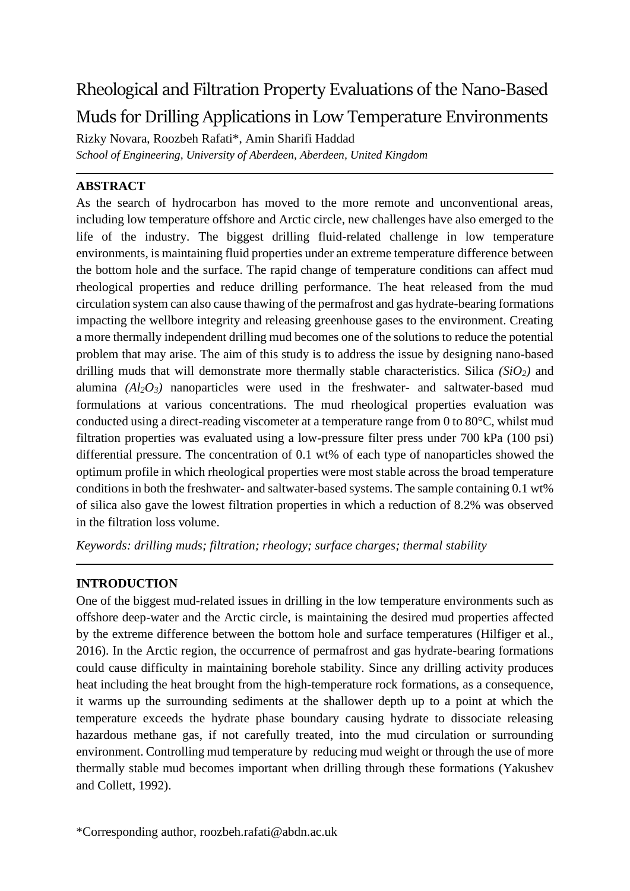# Rheological and Filtration Property Evaluations of the Nano-Based Muds for Drilling Applications in Low Temperature Environments

Rizky Novara, Roozbeh Rafati\*, Amin Sharifi Haddad *School of Engineering, University of Aberdeen, Aberdeen, United Kingdom*

## **ABSTRACT**

As the search of hydrocarbon has moved to the more remote and unconventional areas, including low temperature offshore and Arctic circle, new challenges have also emerged to the life of the industry. The biggest drilling fluid-related challenge in low temperature environments, is maintaining fluid properties under an extreme temperature difference between the bottom hole and the surface. The rapid change of temperature conditions can affect mud rheological properties and reduce drilling performance. The heat released from the mud circulation system can also cause thawing of the permafrost and gas hydrate-bearing formations impacting the wellbore integrity and releasing greenhouse gases to the environment. Creating a more thermally independent drilling mud becomes one of the solutions to reduce the potential problem that may arise. The aim of this study is to address the issue by designing nano-based drilling muds that will demonstrate more thermally stable characteristics. Silica *(SiO2)* and alumina  $(A\{Q_3\})$  nanoparticles were used in the freshwater- and saltwater-based mud formulations at various concentrations. The mud rheological properties evaluation was conducted using a direct-reading viscometer at a temperature range from 0 to 80°C, whilst mud filtration properties was evaluated using a low-pressure filter press under 700 kPa (100 psi) differential pressure. The concentration of 0.1 wt% of each type of nanoparticles showed the optimum profile in which rheological properties were most stable across the broad temperature conditions in both the freshwater- and saltwater-based systems. The sample containing 0.1 wt% of silica also gave the lowest filtration properties in which a reduction of 8.2% was observed in the filtration loss volume.

*Keywords: drilling muds; filtration; rheology; surface charges; thermal stability*

## **INTRODUCTION**

One of the biggest mud-related issues in drilling in the low temperature environments such as offshore deep-water and the Arctic circle, is maintaining the desired mud properties affected by the extreme difference between the bottom hole and surface temperatures (Hilfiger et al., 2016). In the Arctic region, the occurrence of permafrost and gas hydrate-bearing formations could cause difficulty in maintaining borehole stability. Since any drilling activity produces heat including the heat brought from the high-temperature rock formations, as a consequence, it warms up the surrounding sediments at the shallower depth up to a point at which the temperature exceeds the hydrate phase boundary causing hydrate to dissociate releasing hazardous methane gas, if not carefully treated, into the mud circulation or surrounding environment. Controlling mud temperature by reducing mud weight or through the use of more thermally stable mud becomes important when drilling through these formations (Yakushev and Collett, 1992).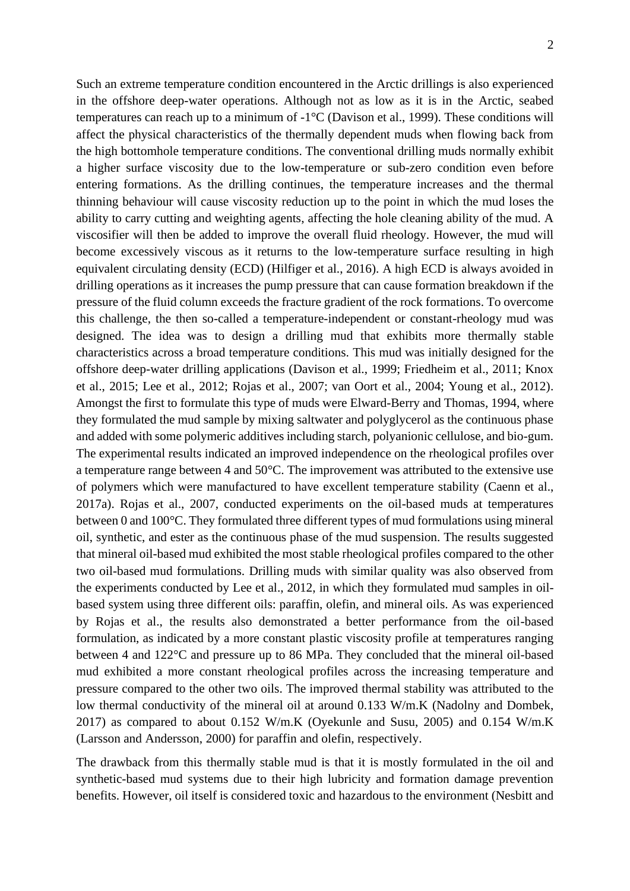Such an extreme temperature condition encountered in the Arctic drillings is also experienced in the offshore deep-water operations. Although not as low as it is in the Arctic, seabed temperatures can reach up to a minimum of -1°C (Davison et al., 1999). These conditions will affect the physical characteristics of the thermally dependent muds when flowing back from the high bottomhole temperature conditions. The conventional drilling muds normally exhibit a higher surface viscosity due to the low-temperature or sub-zero condition even before entering formations. As the drilling continues, the temperature increases and the thermal thinning behaviour will cause viscosity reduction up to the point in which the mud loses the ability to carry cutting and weighting agents, affecting the hole cleaning ability of the mud. A viscosifier will then be added to improve the overall fluid rheology. However, the mud will become excessively viscous as it returns to the low-temperature surface resulting in high equivalent circulating density (ECD) (Hilfiger et al., 2016). A high ECD is always avoided in drilling operations as it increases the pump pressure that can cause formation breakdown if the pressure of the fluid column exceeds the fracture gradient of the rock formations. To overcome this challenge, the then so-called a temperature-independent or constant-rheology mud was designed. The idea was to design a drilling mud that exhibits more thermally stable characteristics across a broad temperature conditions. This mud was initially designed for the offshore deep-water drilling applications (Davison et al., 1999; Friedheim et al., 2011; Knox et al., 2015; Lee et al., 2012; Rojas et al., 2007; van Oort et al., 2004; Young et al., 2012). Amongst the first to formulate this type of muds were Elward-Berry and Thomas, 1994, where they formulated the mud sample by mixing saltwater and polyglycerol as the continuous phase and added with some polymeric additives including starch, polyanionic cellulose, and bio-gum. The experimental results indicated an improved independence on the rheological profiles over a temperature range between 4 and 50°C. The improvement was attributed to the extensive use of polymers which were manufactured to have excellent temperature stability (Caenn et al., 2017a). Rojas et al., 2007, conducted experiments on the oil-based muds at temperatures between 0 and 100°C. They formulated three different types of mud formulations using mineral oil, synthetic, and ester as the continuous phase of the mud suspension. The results suggested that mineral oil-based mud exhibited the most stable rheological profiles compared to the other two oil-based mud formulations. Drilling muds with similar quality was also observed from the experiments conducted by Lee et al., 2012, in which they formulated mud samples in oilbased system using three different oils: paraffin, olefin, and mineral oils. As was experienced by Rojas et al., the results also demonstrated a better performance from the oil-based formulation, as indicated by a more constant plastic viscosity profile at temperatures ranging between 4 and 122°C and pressure up to 86 MPa. They concluded that the mineral oil-based mud exhibited a more constant rheological profiles across the increasing temperature and pressure compared to the other two oils. The improved thermal stability was attributed to the low thermal conductivity of the mineral oil at around 0.133 W/m.K (Nadolny and Dombek, 2017) as compared to about 0.152 W/m.K (Oyekunle and Susu, 2005) and 0.154 W/m.K (Larsson and Andersson, 2000) for paraffin and olefin, respectively.

The drawback from this thermally stable mud is that it is mostly formulated in the oil and synthetic-based mud systems due to their high lubricity and formation damage prevention benefits. However, oil itself is considered toxic and hazardous to the environment (Nesbitt and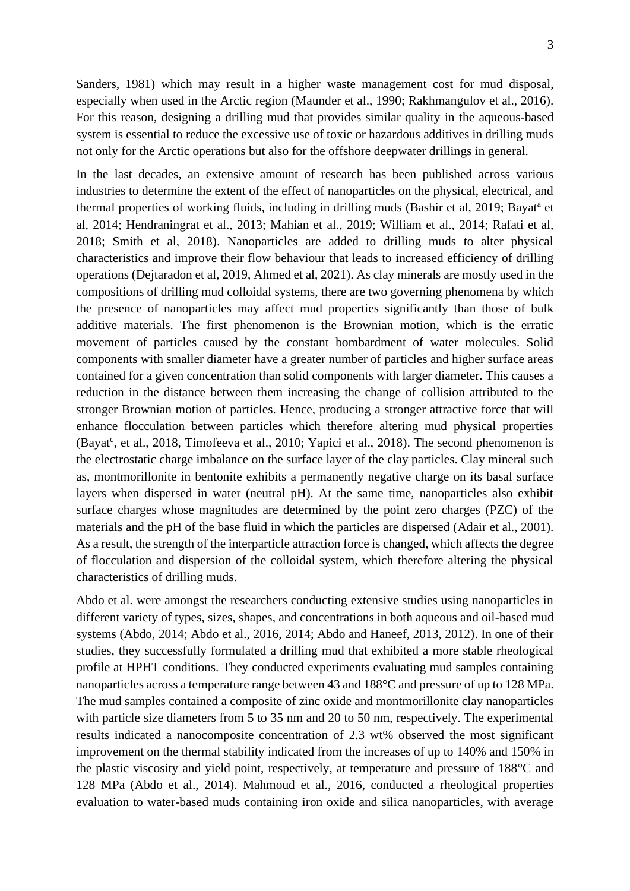Sanders, 1981) which may result in a higher waste management cost for mud disposal, especially when used in the Arctic region (Maunder et al., 1990; Rakhmangulov et al., 2016). For this reason, designing a drilling mud that provides similar quality in the aqueous-based system is essential to reduce the excessive use of toxic or hazardous additives in drilling muds not only for the Arctic operations but also for the offshore deepwater drillings in general.

In the last decades, an extensive amount of research has been published across various industries to determine the extent of the effect of nanoparticles on the physical, electrical, and thermal properties of working fluids, including in drilling muds (Bashir et al, 2019; Bayat<sup>a</sup> et al, 2014; Hendraningrat et al., 2013; Mahian et al., 2019; William et al., 2014; Rafati et al, 2018; Smith et al, 2018). Nanoparticles are added to drilling muds to alter physical characteristics and improve their flow behaviour that leads to increased efficiency of drilling operations (Dejtaradon et al, 2019, Ahmed et al, 2021). As clay minerals are mostly used in the compositions of drilling mud colloidal systems, there are two governing phenomena by which the presence of nanoparticles may affect mud properties significantly than those of bulk additive materials. The first phenomenon is the Brownian motion, which is the erratic movement of particles caused by the constant bombardment of water molecules. Solid components with smaller diameter have a greater number of particles and higher surface areas contained for a given concentration than solid components with larger diameter. This causes a reduction in the distance between them increasing the change of collision attributed to the stronger Brownian motion of particles. Hence, producing a stronger attractive force that will enhance flocculation between particles which therefore altering mud physical properties (Bayat<sup>c</sup>, et al., 2018, Timofeeva et al., 2010; Yapici et al., 2018). The second phenomenon is the electrostatic charge imbalance on the surface layer of the clay particles. Clay mineral such as, montmorillonite in bentonite exhibits a permanently negative charge on its basal surface layers when dispersed in water (neutral pH). At the same time, nanoparticles also exhibit surface charges whose magnitudes are determined by the point zero charges (PZC) of the materials and the pH of the base fluid in which the particles are dispersed (Adair et al., 2001). As a result, the strength of the interparticle attraction force is changed, which affects the degree of flocculation and dispersion of the colloidal system, which therefore altering the physical characteristics of drilling muds.

Abdo et al. were amongst the researchers conducting extensive studies using nanoparticles in different variety of types, sizes, shapes, and concentrations in both aqueous and oil-based mud systems (Abdo, 2014; Abdo et al., 2016, 2014; Abdo and Haneef, 2013, 2012). In one of their studies, they successfully formulated a drilling mud that exhibited a more stable rheological profile at HPHT conditions. They conducted experiments evaluating mud samples containing nanoparticles across a temperature range between 43 and 188°C and pressure of up to 128 MPa. The mud samples contained a composite of zinc oxide and montmorillonite clay nanoparticles with particle size diameters from 5 to 35 nm and 20 to 50 nm, respectively. The experimental results indicated a nanocomposite concentration of 2.3 wt% observed the most significant improvement on the thermal stability indicated from the increases of up to 140% and 150% in the plastic viscosity and yield point, respectively, at temperature and pressure of 188°C and 128 MPa (Abdo et al., 2014). Mahmoud et al., 2016, conducted a rheological properties evaluation to water-based muds containing iron oxide and silica nanoparticles, with average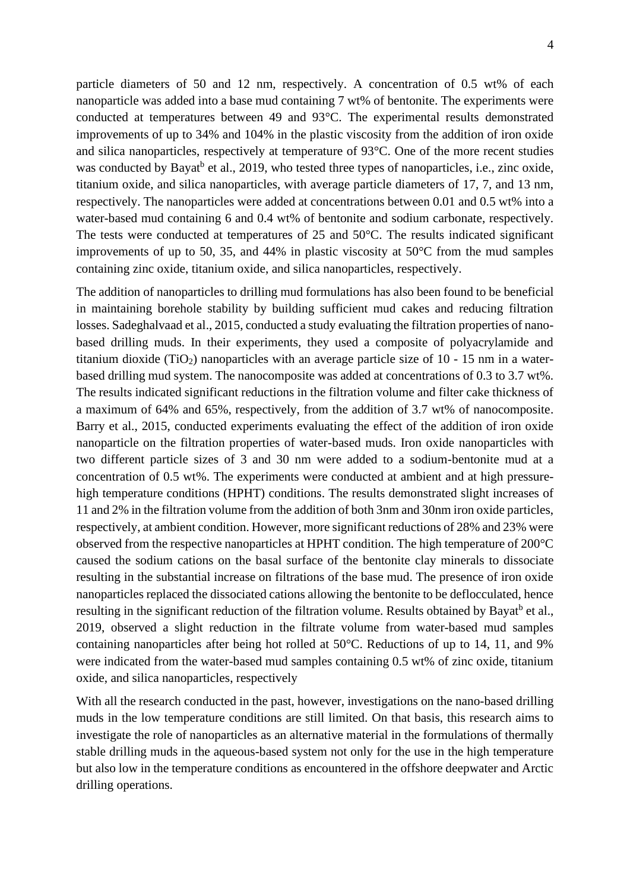particle diameters of 50 and 12 nm, respectively. A concentration of 0.5 wt% of each nanoparticle was added into a base mud containing 7 wt% of bentonite. The experiments were conducted at temperatures between 49 and 93°C. The experimental results demonstrated improvements of up to 34% and 104% in the plastic viscosity from the addition of iron oxide and silica nanoparticles, respectively at temperature of 93°C. One of the more recent studies was conducted by Bayat<sup>b</sup> et al., 2019, who tested three types of nanoparticles, i.e., zinc oxide, titanium oxide, and silica nanoparticles, with average particle diameters of 17, 7, and 13 nm, respectively. The nanoparticles were added at concentrations between 0.01 and 0.5 wt% into a water-based mud containing 6 and 0.4 wt% of bentonite and sodium carbonate, respectively. The tests were conducted at temperatures of 25 and 50°C. The results indicated significant improvements of up to 50, 35, and 44% in plastic viscosity at 50°C from the mud samples containing zinc oxide, titanium oxide, and silica nanoparticles, respectively.

The addition of nanoparticles to drilling mud formulations has also been found to be beneficial in maintaining borehole stability by building sufficient mud cakes and reducing filtration losses. Sadeghalvaad et al., 2015, conducted a study evaluating the filtration properties of nanobased drilling muds. In their experiments, they used a composite of polyacrylamide and titanium dioxide (TiO<sub>2</sub>) nanoparticles with an average particle size of  $10 - 15$  nm in a waterbased drilling mud system. The nanocomposite was added at concentrations of 0.3 to 3.7 wt%. The results indicated significant reductions in the filtration volume and filter cake thickness of a maximum of 64% and 65%, respectively, from the addition of 3.7 wt% of nanocomposite. Barry et al., 2015, conducted experiments evaluating the effect of the addition of iron oxide nanoparticle on the filtration properties of water-based muds. Iron oxide nanoparticles with two different particle sizes of 3 and 30 nm were added to a sodium-bentonite mud at a concentration of 0.5 wt%. The experiments were conducted at ambient and at high pressurehigh temperature conditions (HPHT) conditions. The results demonstrated slight increases of 11 and 2% in the filtration volume from the addition of both 3nm and 30nm iron oxide particles, respectively, at ambient condition. However, more significant reductions of 28% and 23% were observed from the respective nanoparticles at HPHT condition. The high temperature of 200°C caused the sodium cations on the basal surface of the bentonite clay minerals to dissociate resulting in the substantial increase on filtrations of the base mud. The presence of iron oxide nanoparticles replaced the dissociated cations allowing the bentonite to be deflocculated, hence resulting in the significant reduction of the filtration volume. Results obtained by Bayat<sup>b</sup> et al., 2019, observed a slight reduction in the filtrate volume from water-based mud samples containing nanoparticles after being hot rolled at 50°C. Reductions of up to 14, 11, and 9% were indicated from the water-based mud samples containing 0.5 wt% of zinc oxide, titanium oxide, and silica nanoparticles, respectively

With all the research conducted in the past, however, investigations on the nano-based drilling muds in the low temperature conditions are still limited. On that basis, this research aims to investigate the role of nanoparticles as an alternative material in the formulations of thermally stable drilling muds in the aqueous-based system not only for the use in the high temperature but also low in the temperature conditions as encountered in the offshore deepwater and Arctic drilling operations.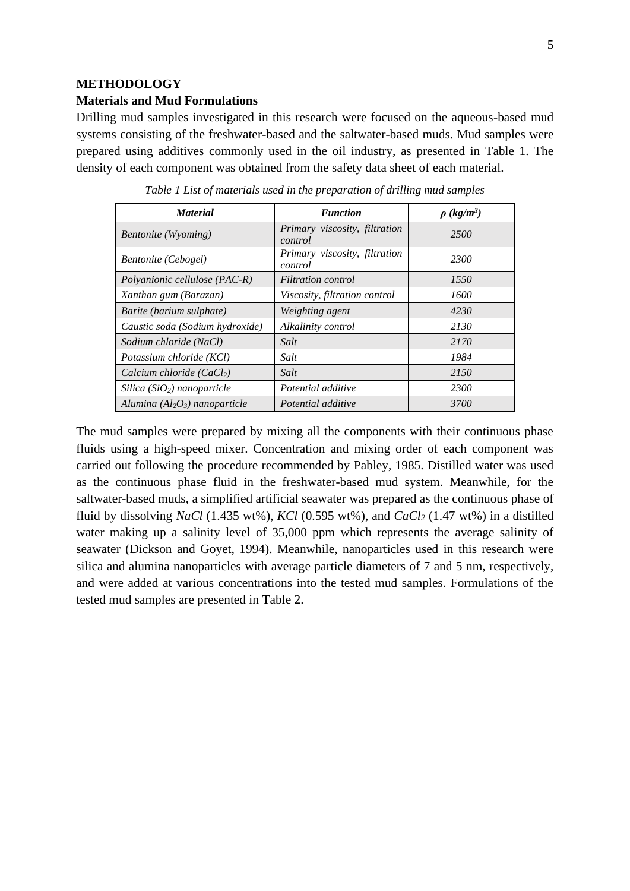#### **METHODOLOGY**

#### **Materials and Mud Formulations**

Drilling mud samples investigated in this research were focused on the aqueous-based mud systems consisting of the freshwater-based and the saltwater-based muds. Mud samples were prepared using additives commonly used in the oil industry, as presented in Table 1. The density of each component was obtained from the safety data sheet of each material.

| <b>Material</b>                    | <b>Function</b>                          | $\rho$ (kg/m <sup>3</sup> ) |
|------------------------------------|------------------------------------------|-----------------------------|
| Bentonite (Wyoming)                | Primary viscosity, filtration<br>control | 2500                        |
| <b>Bentonite</b> (Cebogel)         | Primary viscosity, filtration<br>control | 2300                        |
| Polyanionic cellulose (PAC-R)      | <b>Filtration</b> control                | 1550                        |
| Xanthan gum (Barazan)              | Viscosity, filtration control            | 1600                        |
| Barite (barium sulphate)           | Weighting agent                          | 4230                        |
| Caustic soda (Sodium hydroxide)    | Alkalinity control                       | 2130                        |
| Sodium chloride (NaCl)             | Salt                                     | 2170                        |
| Potassium chloride (KCl)           | Salt                                     | 1984                        |
| Calcium chloride $(CaCl2)$         | Salt                                     | 2150                        |
| Silica ( $SiO2$ ) nanoparticle     | Potential additive                       | 2300                        |
| Alumina ( $Al_2O_3$ ) nanoparticle | Potential additive                       | 3700                        |

*Table 1 List of materials used in the preparation of drilling mud samples*

The mud samples were prepared by mixing all the components with their continuous phase fluids using a high-speed mixer. Concentration and mixing order of each component was carried out following the procedure recommended by Pabley, 1985. Distilled water was used as the continuous phase fluid in the freshwater-based mud system. Meanwhile, for the saltwater-based muds, a simplified artificial seawater was prepared as the continuous phase of fluid by dissolving *NaCl* (1.435 wt%), *KCl* (0.595 wt%), and *CaCl<sup>2</sup>* (1.47 wt%) in a distilled water making up a salinity level of 35,000 ppm which represents the average salinity of seawater (Dickson and Goyet, 1994). Meanwhile, nanoparticles used in this research were silica and alumina nanoparticles with average particle diameters of 7 and 5 nm, respectively, and were added at various concentrations into the tested mud samples. Formulations of the tested mud samples are presented in Table 2.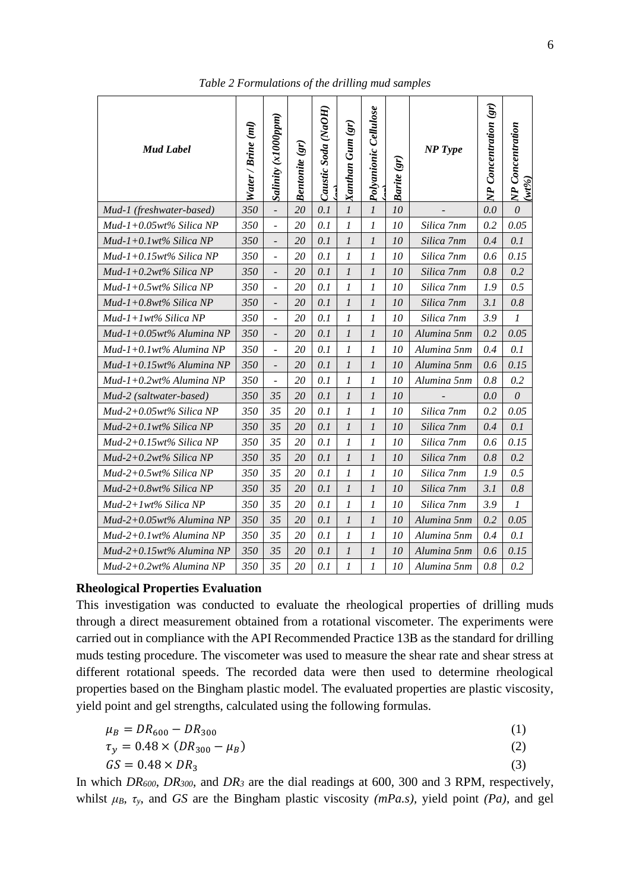| <b>Mud Label</b>            | Water / Brine (ml) | Salinity (x1000ppm)          | <b>Bentonite (gr)</b> | Caustic Soda (NaOH) | Xanthan Gum (gr) | <b>Cellulose</b><br>Polyanionic | Barite (gr) | <b>NP</b> Type | NP Concentration (gr) | NP Concentration<br>$(wt\%)$ |
|-----------------------------|--------------------|------------------------------|-----------------------|---------------------|------------------|---------------------------------|-------------|----------------|-----------------------|------------------------------|
| Mud-1 (freshwater-based)    | 350                | $\overline{\phantom{a}}$     | 20                    | 0.1                 | $\mathfrak l$    | $\boldsymbol{l}$                | 10          |                | 0.0                   | $\theta$                     |
| $Mud-1+0.05wt\%$ Silica NP  | 350                | $\overline{\phantom{a}}$     | 20                    | 0.1                 | 1                | 1                               | 10          | Silica 7nm     | 0.2                   | 0.05                         |
| Mud-1+0.1wt% Silica NP      | 350                | $\overline{\phantom{a}}$     | 20                    | 0.1                 | $\boldsymbol{l}$ | 1                               | 10          | Silica 7nm     | 0.4                   | 0.1                          |
| Mud-1+0.15wt% Silica NP     | 350                | $\overline{a}$               | 20                    | 0.1                 | 1                | 1                               | 10          | Silica 7nm     | 0.6                   | 0.15                         |
| $Mud-1+0.2wt\%$ Silica NP   | 350                | $\overline{\phantom{a}}$     | <b>20</b>             | 0.1                 | $\boldsymbol{l}$ | 1                               | 10          | Silica 7nm     | 0.8                   | 0.2                          |
| $Mud-1+0.5wt\%$ Silica NP   | 350                | $\overline{a}$               | 20                    | 0.1                 | 1                | 1                               | 10          | Silica 7nm     | 1.9                   | 0.5                          |
| Mud-1+0.8wt% Silica NP      | 350                | $\qquad \qquad \blacksquare$ | 20                    | 0.1                 | $\boldsymbol{l}$ | 1                               | 10          | Silica 7nm     | 3.1                   | 0.8                          |
| $Mud-1+1wt\%$ Silica NP     | 350                | $\qquad \qquad \blacksquare$ | 20                    | 0.1                 | 1                | 1                               | 10          | Silica 7nm     | 3.9                   | $\boldsymbol{l}$             |
| Mud-1+0.05wt% Alumina NP    | 350                | $\overline{\phantom{a}}$     | 20                    | 0.1                 | $\mathfrak l$    | $\boldsymbol{l}$                | 10          | Alumina 5nm    | 0.2                   | 0.05                         |
| Mud-1+0.1wt% Alumina NP     | 350                | $\blacksquare$               | 20                    | 0.1                 | 1                | 1                               | 10          | Alumina 5nm    | 0.4                   | 0.1                          |
| $Mud-1+0.15wt\%$ Alumina NP | 350                | $\overline{\phantom{a}}$     | 20                    | 0.1                 | $\mathcal{I}$    | 1                               | 10          | Alumina 5nm    | 0.6                   | 0.15                         |
| Mud-1+0.2wt% Alumina NP     | 350                | $\overline{\phantom{a}}$     | 20                    | 0.1                 | 1                | 1                               | 10          | Alumina 5nm    | 0.8                   | 0.2                          |
| Mud-2 (saltwater-based)     | 350                | 35                           | 20                    | 0.1                 | $\mathcal{I}$    | $\boldsymbol{l}$                | 10          |                | 0.0                   | $\theta$                     |
| $Mud-2+0.05wt\%$ Silica NP  | 350                | 35                           | 20                    | 0.1                 | 1                | 1                               | 10          | Silica 7nm     | 0.2                   | 0.05                         |
| $Mud-2+0.1wt\%$ Silica NP   | 350                | 35                           | 20                    | 0.1                 | $\mathfrak{1}$   | $\mathfrak{1}$                  | 10          | Silica 7nm     | 0.4                   | 0.1                          |
| $Mud-2+0.15wt\%$ Silica NP  | 350                | 35                           | 20                    | 0.1                 | 1                | 1                               | 10          | Silica 7nm     | 0.6                   | 0.15                         |
| $Mud-2+0.2wt\%$ Silica NP   | 350                | 35                           | 20                    | 0.1                 | $\mathfrak l$    | $\mathfrak{1}$                  | 10          | Silica 7nm     | 0.8                   | 0.2                          |
| $Mud-2+0.5wt\%$ Silica NP   | 350                | 35                           | 20                    | 0.1                 | 1                | 1                               | 10          | Silica 7nm     | 1.9                   | 0.5                          |
| $Mud-2+0.8wt\%$ Silica NP   | 350                | 35                           | 20                    | 0.1                 | $\boldsymbol{l}$ | $\boldsymbol{l}$                | 10          | Silica 7nm     | 3.1                   | 0.8                          |
| Mud-2+1wt% Silica NP        | 350                | 35                           | 20                    | 0.1                 | 1                | 1                               | 10          | Silica 7nm     | 3.9                   | 1                            |
| $Mud-2+0.05wt\%$ Alumina NP | 350                | 35                           | 20                    | 0.1                 | $\mathfrak{1}$   | 1                               | 10          | Alumina 5nm    | 0.2                   | 0.05                         |
| Mud-2+0.1wt% Alumina NP     | 350                | 35                           | 20                    | 0.1                 | 1                | 1                               | 10          | Alumina 5nm    | 0.4                   | 0.1                          |
| $Mud-2+0.15wt\%$ Alumina NP | 350                | 35                           | 20                    | 0.1                 | 1                | 1                               | 10          | Alumina 5nm    | 0.6                   | 0.15                         |
| $Mud-2+0.2wt\%$ Alumina NP  | 350                | 35                           | 20                    | 0.1                 | 1                | 1                               | 10          | Alumina 5nm    | 0.8                   | 0.2                          |

*Table 2 Formulations of the drilling mud samples*

#### **Rheological Properties Evaluation**

This investigation was conducted to evaluate the rheological properties of drilling muds through a direct measurement obtained from a rotational viscometer. The experiments were carried out in compliance with the API Recommended Practice 13B as the standard for drilling muds testing procedure. The viscometer was used to measure the shear rate and shear stress at different rotational speeds. The recorded data were then used to determine rheological properties based on the Bingham plastic model. The evaluated properties are plastic viscosity, yield point and gel strengths, calculated using the following formulas.

$$
\mu_B = DR_{600} - DR_{300} \tag{1}
$$

$$
\tau_y = 0.48 \times (DR_{300} - \mu_B) \tag{2}
$$

$$
GS = 0.48 \times DR_3 \tag{3}
$$

In which *DR600*, *DR300*, and *DR<sup>3</sup>* are the dial readings at 600, 300 and 3 RPM, respectively, whilst *μB*, *τy*, and *GS* are the Bingham plastic viscosity *(mPa.s),* yield point *(Pa)*, and gel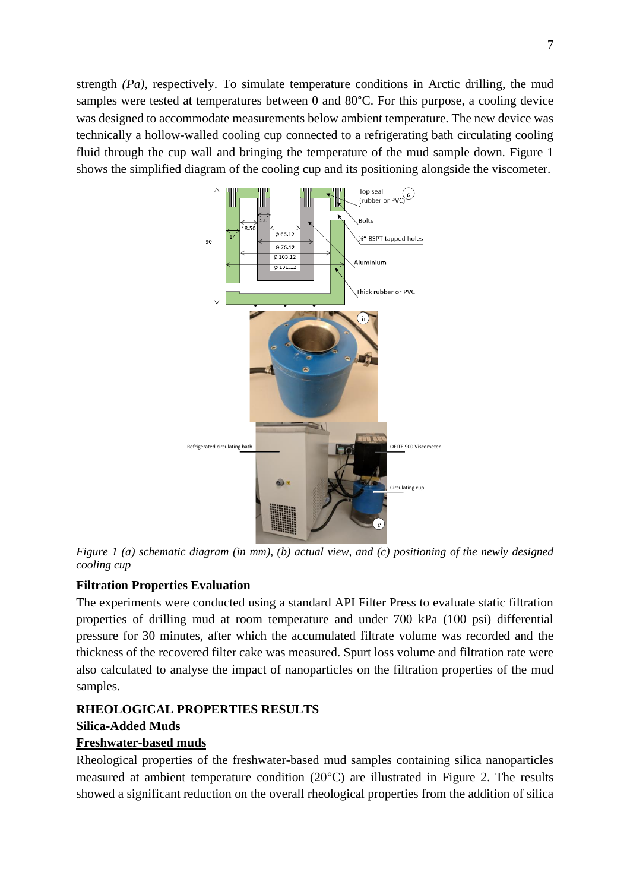strength *(Pa)*, respectively. To simulate temperature conditions in Arctic drilling, the mud samples were tested at temperatures between 0 and 80°C. For this purpose, a cooling device was designed to accommodate measurements below ambient temperature. The new device was technically a hollow-walled cooling cup connected to a refrigerating bath circulating cooling fluid through the cup wall and bringing the temperature of the mud sample down. Figure 1 shows the simplified diagram of the cooling cup and its positioning alongside the viscometer.



*Figure 1 (a) schematic diagram (in mm), (b) actual view, and (c) positioning of the newly designed cooling cup*

## **Filtration Properties Evaluation**

The experiments were conducted using a standard API Filter Press to evaluate static filtration properties of drilling mud at room temperature and under 700 kPa (100 psi) differential pressure for 30 minutes, after which the accumulated filtrate volume was recorded and the thickness of the recovered filter cake was measured. Spurt loss volume and filtration rate were also calculated to analyse the impact of nanoparticles on the filtration properties of the mud samples.

## **RHEOLOGICAL PROPERTIES RESULTS Silica-Added Muds**

#### **Freshwater-based muds**

Rheological properties of the freshwater-based mud samples containing silica nanoparticles measured at ambient temperature condition (20°C) are illustrated in Figure 2. The results showed a significant reduction on the overall rheological properties from the addition of silica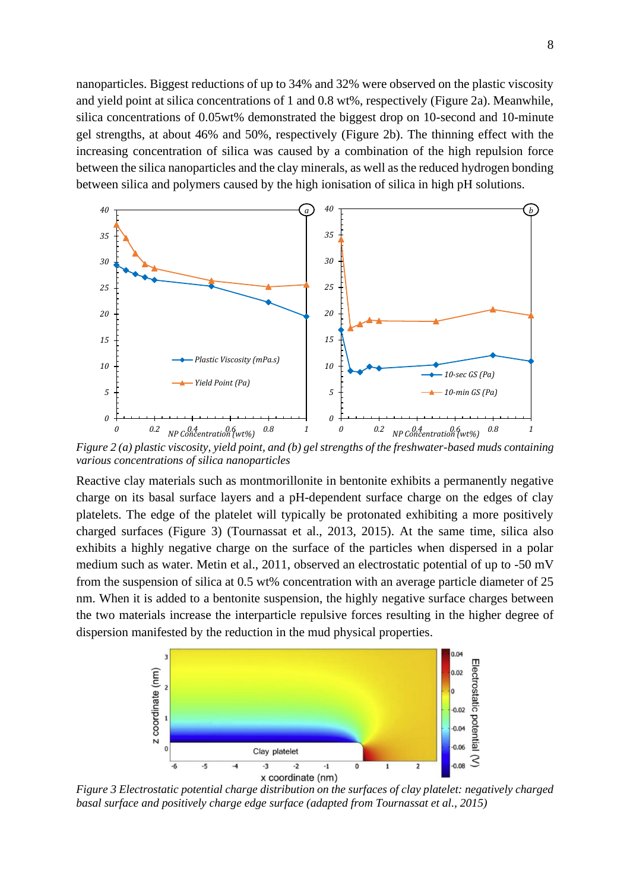nanoparticles. Biggest reductions of up to 34% and 32% were observed on the plastic viscosity and yield point at silica concentrations of 1 and 0.8 wt%, respectively (Figure 2a). Meanwhile, silica concentrations of 0.05wt% demonstrated the biggest drop on 10-second and 10-minute gel strengths, at about 46% and 50%, respectively (Figure 2b). The thinning effect with the increasing concentration of silica was caused by a combination of the high repulsion force between the silica nanoparticles and the clay minerals, as well as the reduced hydrogen bonding between silica and polymers caused by the high ionisation of silica in high pH solutions.



*Figure 2 (a) plastic viscosity, yield point, and (b) gel strengths of the freshwater-based muds containing various concentrations of silica nanoparticles*

Reactive clay materials such as montmorillonite in bentonite exhibits a permanently negative charge on its basal surface layers and a pH-dependent surface charge on the edges of clay platelets. The edge of the platelet will typically be protonated exhibiting a more positively charged surfaces (Figure 3) (Tournassat et al., 2013, 2015). At the same time, silica also exhibits a highly negative charge on the surface of the particles when dispersed in a polar medium such as water. Metin et al., 2011, observed an electrostatic potential of up to -50 mV from the suspension of silica at 0.5 wt% concentration with an average particle diameter of 25 nm. When it is added to a bentonite suspension, the highly negative surface charges between the two materials increase the interparticle repulsive forces resulting in the higher degree of dispersion manifested by the reduction in the mud physical properties.



*Figure 3 Electrostatic potential charge distribution on the surfaces of clay platelet: negatively charged basal surface and positively charge edge surface (adapted from Tournassat et al., 2015)*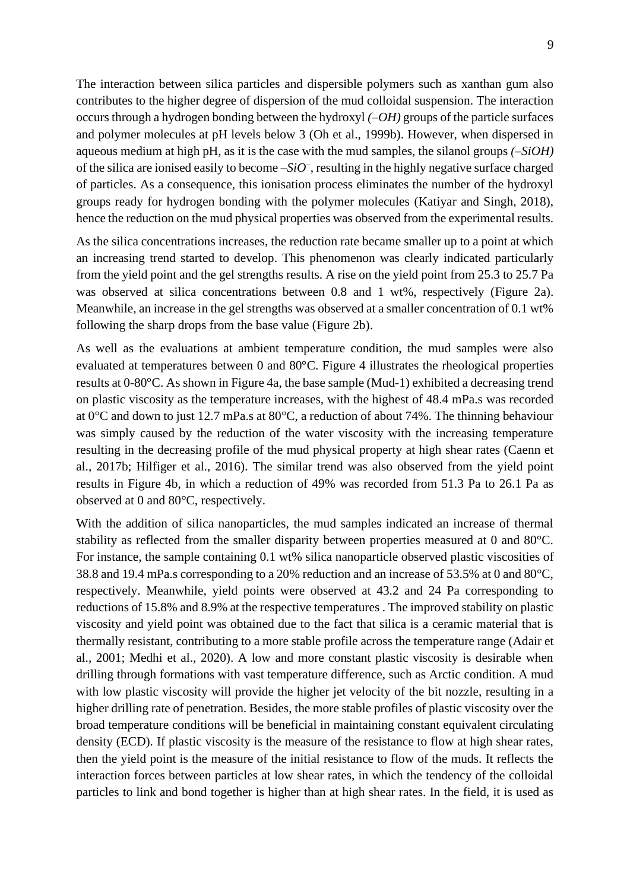The interaction between silica particles and dispersible polymers such as xanthan gum also contributes to the higher degree of dispersion of the mud colloidal suspension. The interaction occurs through a hydrogen bonding between the hydroxyl *(–OH)* groups of the particle surfaces and polymer molecules at pH levels below 3 (Oh et al., 1999b). However, when dispersed in aqueous medium at high pH, as it is the case with the mud samples, the silanol groups *(–SiOH)* of the silica are ionised easily to become  $-SiO^-$ , resulting in the highly negative surface charged of particles. As a consequence, this ionisation process eliminates the number of the hydroxyl groups ready for hydrogen bonding with the polymer molecules (Katiyar and Singh, 2018), hence the reduction on the mud physical properties was observed from the experimental results.

As the silica concentrations increases, the reduction rate became smaller up to a point at which an increasing trend started to develop. This phenomenon was clearly indicated particularly from the yield point and the gel strengths results. A rise on the yield point from 25.3 to 25.7 Pa was observed at silica concentrations between 0.8 and 1 wt%, respectively (Figure 2a). Meanwhile, an increase in the gel strengths was observed at a smaller concentration of 0.1 wt% following the sharp drops from the base value (Figure 2b).

As well as the evaluations at ambient temperature condition, the mud samples were also evaluated at temperatures between 0 and 80°C. Figure 4 illustrates the rheological properties results at 0-80°C. As shown in Figure 4a, the base sample (Mud-1) exhibited a decreasing trend on plastic viscosity as the temperature increases, with the highest of 48.4 mPa.s was recorded at 0°C and down to just 12.7 mPa.s at 80°C, a reduction of about 74%. The thinning behaviour was simply caused by the reduction of the water viscosity with the increasing temperature resulting in the decreasing profile of the mud physical property at high shear rates (Caenn et al., 2017b; Hilfiger et al., 2016). The similar trend was also observed from the yield point results in Figure 4b, in which a reduction of 49% was recorded from 51.3 Pa to 26.1 Pa as observed at 0 and 80°C, respectively.

With the addition of silica nanoparticles, the mud samples indicated an increase of thermal stability as reflected from the smaller disparity between properties measured at 0 and 80°C. For instance, the sample containing 0.1 wt% silica nanoparticle observed plastic viscosities of 38.8 and 19.4 mPa.s corresponding to a 20% reduction and an increase of 53.5% at 0 and 80°C, respectively. Meanwhile, yield points were observed at 43.2 and 24 Pa corresponding to reductions of 15.8% and 8.9% at the respective temperatures . The improved stability on plastic viscosity and yield point was obtained due to the fact that silica is a ceramic material that is thermally resistant, contributing to a more stable profile across the temperature range (Adair et al., 2001; Medhi et al., 2020). A low and more constant plastic viscosity is desirable when drilling through formations with vast temperature difference, such as Arctic condition. A mud with low plastic viscosity will provide the higher jet velocity of the bit nozzle, resulting in a higher drilling rate of penetration. Besides, the more stable profiles of plastic viscosity over the broad temperature conditions will be beneficial in maintaining constant equivalent circulating density (ECD). If plastic viscosity is the measure of the resistance to flow at high shear rates, then the yield point is the measure of the initial resistance to flow of the muds. It reflects the interaction forces between particles at low shear rates, in which the tendency of the colloidal particles to link and bond together is higher than at high shear rates. In the field, it is used as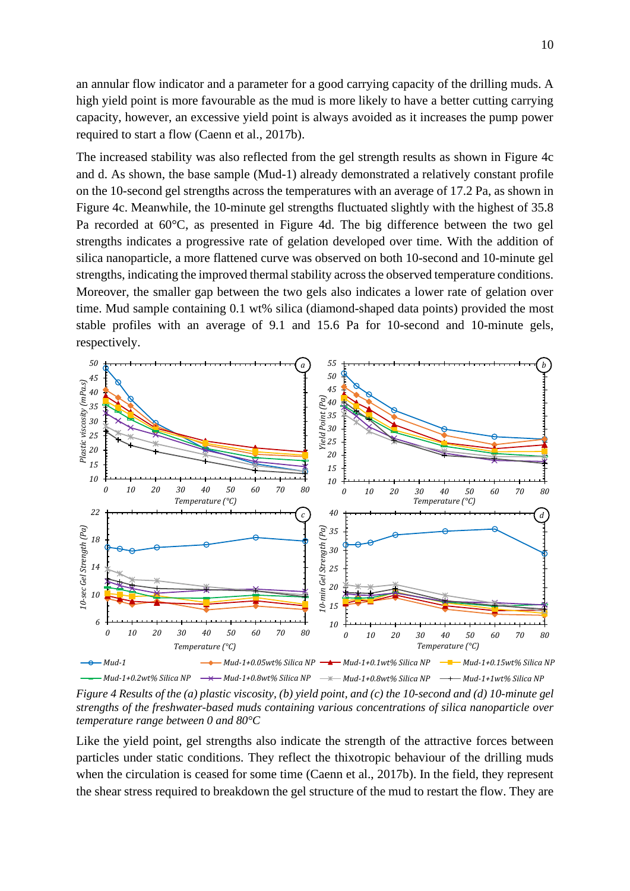an annular flow indicator and a parameter for a good carrying capacity of the drilling muds. A high yield point is more favourable as the mud is more likely to have a better cutting carrying capacity, however, an excessive yield point is always avoided as it increases the pump power required to start a flow (Caenn et al., 2017b).

The increased stability was also reflected from the gel strength results as shown in Figure 4c and d. As shown, the base sample (Mud-1) already demonstrated a relatively constant profile on the 10-second gel strengths across the temperatures with an average of 17.2 Pa, as shown in Figure 4c. Meanwhile, the 10-minute gel strengths fluctuated slightly with the highest of 35.8 Pa recorded at 60°C, as presented in Figure 4d. The big difference between the two gel strengths indicates a progressive rate of gelation developed over time. With the addition of silica nanoparticle, a more flattened curve was observed on both 10-second and 10-minute gel strengths, indicating the improved thermal stability across the observed temperature conditions. Moreover, the smaller gap between the two gels also indicates a lower rate of gelation over time. Mud sample containing 0.1 wt% silica (diamond-shaped data points) provided the most stable profiles with an average of 9.1 and 15.6 Pa for 10-second and 10-minute gels, respectively.



*Figure 4 Results of the (a) plastic viscosity, (b) yield point, and (c) the 10-second and (d) 10-minute gel strengths of the freshwater-based muds containing various concentrations of silica nanoparticle over temperature range between 0 and 80°C* 

Like the yield point, gel strengths also indicate the strength of the attractive forces between particles under static conditions. They reflect the thixotropic behaviour of the drilling muds when the circulation is ceased for some time (Caenn et al., 2017b). In the field, they represent the shear stress required to breakdown the gel structure of the mud to restart the flow. They are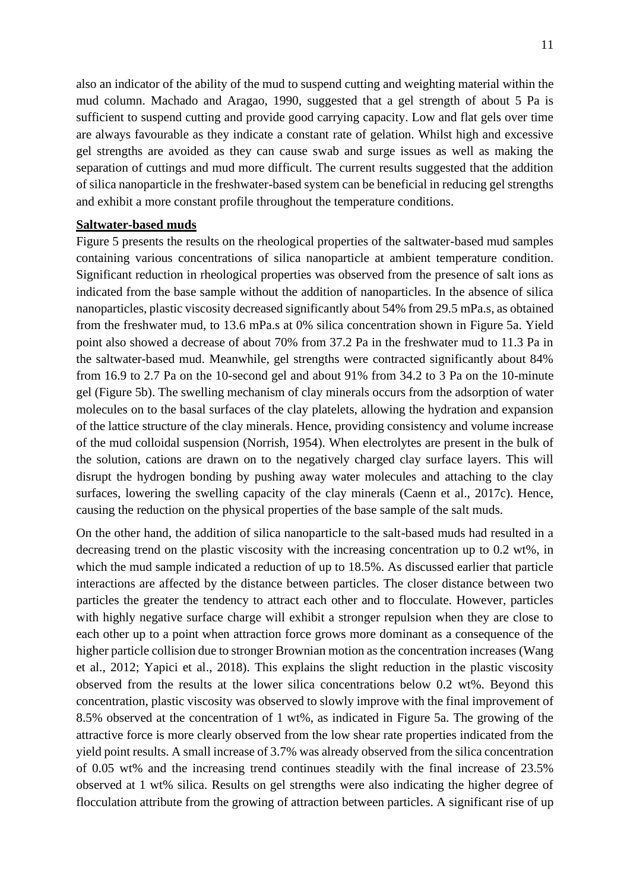also an indicator of the ability of the mud to suspend cutting and weighting material within the mud column. Machado and Aragao, 1990, suggested that a gel strength of about 5 Pa is sufficient to suspend cutting and provide good carrying capacity. Low and flat gels over time are always favourable as they indicate a constant rate of gelation. Whilst high and excessive gel strengths are avoided as they can cause swab and surge issues as well as making the separation of cuttings and mud more difficult. The current results suggested that the addition of silica nanoparticle in the freshwater-based system can be beneficial in reducing gel strengths and exhibit a more constant profile throughout the temperature conditions.

#### **Saltwater-based muds**

Figure 5 presents the results on the rheological properties of the saltwater-based mud samples containing various concentrations of silica nanoparticle at ambient temperature condition. Significant reduction in rheological properties was observed from the presence of salt ions as indicated from the base sample without the addition of nanoparticles. In the absence of silica nanoparticles, plastic viscosity decreased significantly about 54% from 29.5 mPa.s, as obtained from the freshwater mud, to 13.6 mPa.s at 0% silica concentration shown in Figure 5a. Yield point also showed a decrease of about 70% from 37.2 Pa in the freshwater mud to 11.3 Pa in the saltwater-based mud. Meanwhile, gel strengths were contracted significantly about 84% from 16.9 to 2.7 Pa on the 10-second gel and about 91% from 34.2 to 3 Pa on the 10-minute gel (Figure 5b). The swelling mechanism of clay minerals occurs from the adsorption of water molecules on to the basal surfaces of the clay platelets, allowing the hydration and expansion of the lattice structure of the clay minerals. Hence, providing consistency and volume increase of the mud colloidal suspension (Norrish, 1954). When electrolytes are present in the bulk of the solution, cations are drawn on to the negatively charged clay surface layers. This will disrupt the hydrogen bonding by pushing away water molecules and attaching to the clay surfaces, lowering the swelling capacity of the clay minerals (Caenn et al., 2017c). Hence, causing the reduction on the physical properties of the base sample of the salt muds.

On the other hand, the addition of silica nanoparticle to the salt-based muds had resulted in a decreasing trend on the plastic viscosity with the increasing concentration up to 0.2 wt%, in which the mud sample indicated a reduction of up to 18.5%. As discussed earlier that particle interactions are affected by the distance between particles. The closer distance between two particles the greater the tendency to attract each other and to flocculate. However, particles with highly negative surface charge will exhibit a stronger repulsion when they are close to each other up to a point when attraction force grows more dominant as a consequence of the higher particle collision due to stronger Brownian motion as the concentration increases (Wang et al., 2012; Yapici et al., 2018). This explains the slight reduction in the plastic viscosity observed from the results at the lower silica concentrations below 0.2 wt%. Beyond this concentration, plastic viscosity was observed to slowly improve with the final improvement of 8.5% observed at the concentration of 1 wt%, as indicated in Figure 5a. The growing of the attractive force is more clearly observed from the low shear rate properties indicated from the yield point results. A small increase of 3.7% was already observed from the silica concentration of 0.05 wt% and the increasing trend continues steadily with the final increase of 23.5% observed at 1 wt% silica. Results on gel strengths were also indicating the higher degree of flocculation attribute from the growing of attraction between particles. A significant rise of up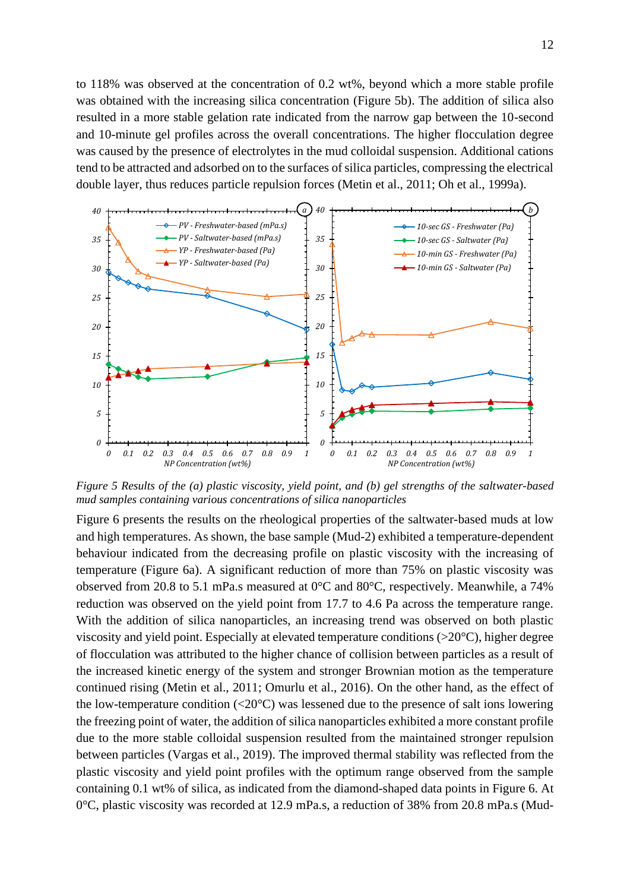to 118% was observed at the concentration of 0.2 wt%, beyond which a more stable profile was obtained with the increasing silica concentration (Figure 5b). The addition of silica also resulted in a more stable gelation rate indicated from the narrow gap between the 10-second and 10-minute gel profiles across the overall concentrations. The higher flocculation degree was caused by the presence of electrolytes in the mud colloidal suspension. Additional cations tend to be attracted and adsorbed on to the surfaces of silica particles, compressing the electrical double layer, thus reduces particle repulsion forces (Metin et al., 2011; Oh et al., 1999a).



*Figure 5 Results of the (a) plastic viscosity, yield point, and (b) gel strengths of the saltwater-based mud samples containing various concentrations of silica nanoparticles*

Figure 6 presents the results on the rheological properties of the saltwater-based muds at low and high temperatures. As shown, the base sample (Mud-2) exhibited a temperature-dependent behaviour indicated from the decreasing profile on plastic viscosity with the increasing of temperature (Figure 6a). A significant reduction of more than 75% on plastic viscosity was observed from 20.8 to 5.1 mPa.s measured at 0°C and 80°C, respectively. Meanwhile, a 74% reduction was observed on the yield point from 17.7 to 4.6 Pa across the temperature range. With the addition of silica nanoparticles, an increasing trend was observed on both plastic viscosity and yield point. Especially at elevated temperature conditions (>20°C), higher degree of flocculation was attributed to the higher chance of collision between particles as a result of the increased kinetic energy of the system and stronger Brownian motion as the temperature continued rising (Metin et al., 2011; Omurlu et al., 2016). On the other hand, as the effect of the low-temperature condition  $\langle 20^{\circ}$ C) was lessened due to the presence of salt ions lowering the freezing point of water, the addition of silica nanoparticles exhibited a more constant profile due to the more stable colloidal suspension resulted from the maintained stronger repulsion between particles (Vargas et al., 2019). The improved thermal stability was reflected from the plastic viscosity and yield point profiles with the optimum range observed from the sample containing 0.1 wt% of silica, as indicated from the diamond-shaped data points in Figure 6. At 0°C, plastic viscosity was recorded at 12.9 mPa.s, a reduction of 38% from 20.8 mPa.s (Mud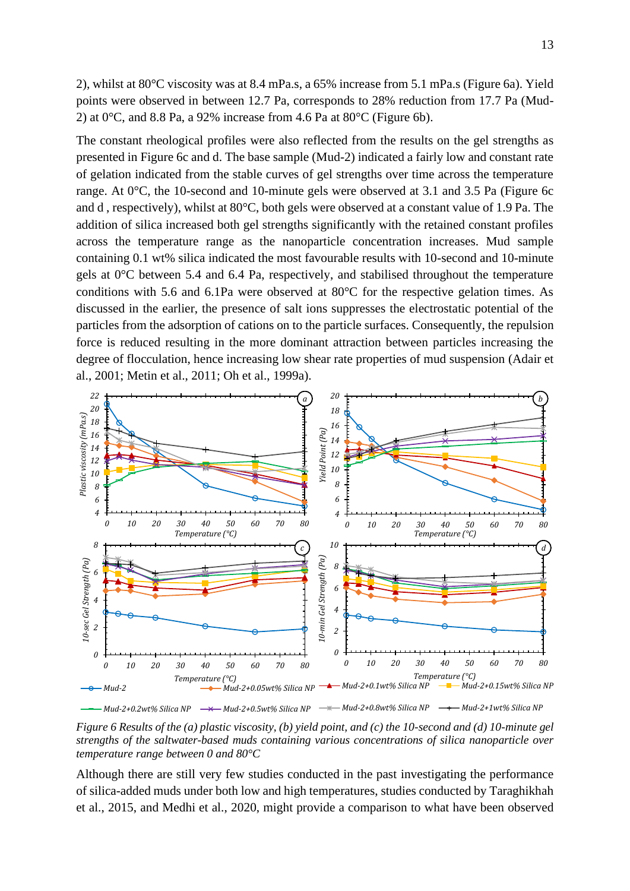2), whilst at 80°C viscosity was at 8.4 mPa.s, a 65% increase from 5.1 mPa.s (Figure 6a). Yield points were observed in between 12.7 Pa, corresponds to 28% reduction from 17.7 Pa (Mud-2) at  $0^{\circ}$ C, and 8.8 Pa, a 92% increase from 4.6 Pa at  $80^{\circ}$ C (Figure 6b).

The constant rheological profiles were also reflected from the results on the gel strengths as presented in Figure 6c and d. The base sample (Mud-2) indicated a fairly low and constant rate of gelation indicated from the stable curves of gel strengths over time across the temperature range. At 0°C, the 10-second and 10-minute gels were observed at 3.1 and 3.5 Pa (Figure 6c and d , respectively), whilst at 80°C, both gels were observed at a constant value of 1.9 Pa. The addition of silica increased both gel strengths significantly with the retained constant profiles across the temperature range as the nanoparticle concentration increases. Mud sample containing 0.1 wt% silica indicated the most favourable results with 10-second and 10-minute gels at 0°C between 5.4 and 6.4 Pa, respectively, and stabilised throughout the temperature conditions with 5.6 and 6.1Pa were observed at 80°C for the respective gelation times. As discussed in the earlier, the presence of salt ions suppresses the electrostatic potential of the particles from the adsorption of cations on to the particle surfaces. Consequently, the repulsion force is reduced resulting in the more dominant attraction between particles increasing the degree of flocculation, hence increasing low shear rate properties of mud suspension (Adair et al., 2001; Metin et al., 2011; Oh et al., 1999a).



*Figure 6 Results of the (a) plastic viscosity, (b) yield point, and (c) the 10-second and (d) 10-minute gel strengths of the saltwater-based muds containing various concentrations of silica nanoparticle over temperature range between 0 and 80°C*

Although there are still very few studies conducted in the past investigating the performance of silica-added muds under both low and high temperatures, studies conducted by Taraghikhah et al., 2015, and Medhi et al., 2020, might provide a comparison to what have been observed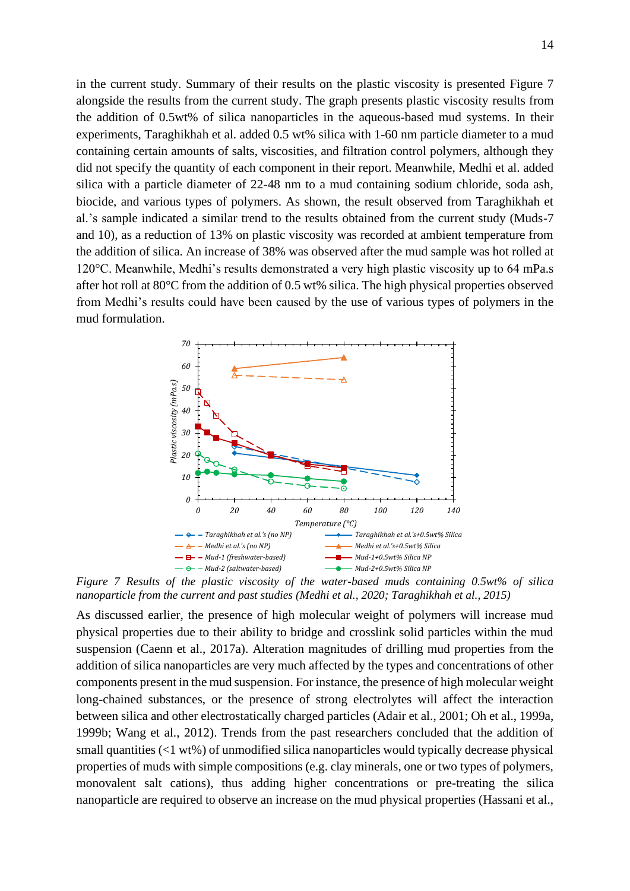in the current study. Summary of their results on the plastic viscosity is presented Figure 7 alongside the results from the current study. The graph presents plastic viscosity results from the addition of 0.5wt% of silica nanoparticles in the aqueous-based mud systems. In their experiments, Taraghikhah et al. added 0.5 wt% silica with 1-60 nm particle diameter to a mud containing certain amounts of salts, viscosities, and filtration control polymers, although they did not specify the quantity of each component in their report. Meanwhile, Medhi et al. added silica with a particle diameter of 22-48 nm to a mud containing sodium chloride, soda ash, biocide, and various types of polymers. As shown, the result observed from Taraghikhah et al.'s sample indicated a similar trend to the results obtained from the current study (Muds-7 and 10), as a reduction of 13% on plastic viscosity was recorded at ambient temperature from the addition of silica. An increase of 38% was observed after the mud sample was hot rolled at 120°C. Meanwhile, Medhi's results demonstrated a very high plastic viscosity up to 64 mPa.s after hot roll at 80°C from the addition of 0.5 wt% silica. The high physical properties observed from Medhi's results could have been caused by the use of various types of polymers in the mud formulation.



*Figure 7 Results of the plastic viscosity of the water-based muds containing 0.5wt% of silica nanoparticle from the current and past studies (Medhi et al., 2020; Taraghikhah et al., 2015)*

As discussed earlier, the presence of high molecular weight of polymers will increase mud physical properties due to their ability to bridge and crosslink solid particles within the mud suspension (Caenn et al., 2017a). Alteration magnitudes of drilling mud properties from the addition of silica nanoparticles are very much affected by the types and concentrations of other components present in the mud suspension. For instance, the presence of high molecular weight long-chained substances, or the presence of strong electrolytes will affect the interaction between silica and other electrostatically charged particles (Adair et al., 2001; Oh et al., 1999a, 1999b; Wang et al., 2012). Trends from the past researchers concluded that the addition of small quantities (<1 wt%) of unmodified silica nanoparticles would typically decrease physical properties of muds with simple compositions (e.g. clay minerals, one or two types of polymers, monovalent salt cations), thus adding higher concentrations or pre-treating the silica nanoparticle are required to observe an increase on the mud physical properties (Hassani et al.,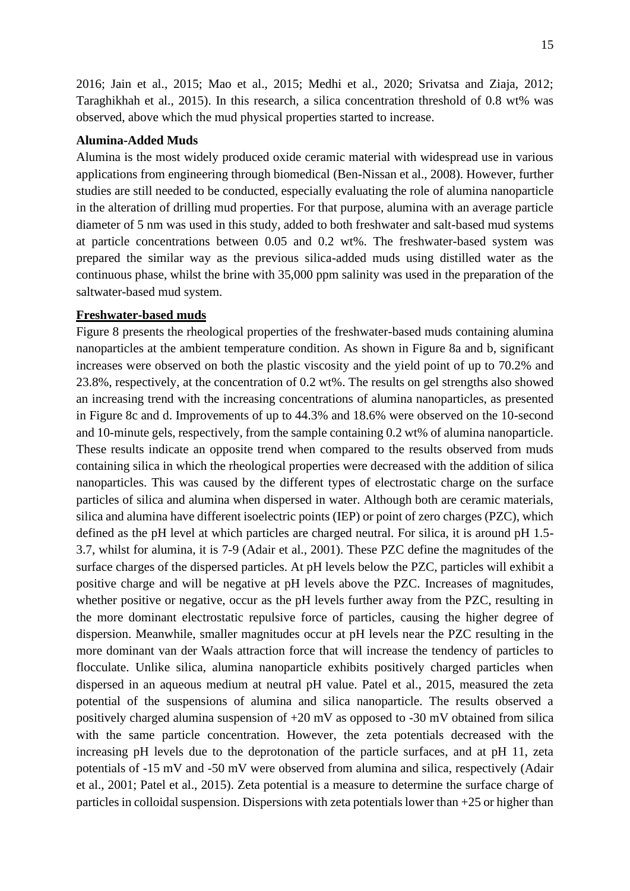2016; Jain et al., 2015; Mao et al., 2015; Medhi et al., 2020; Srivatsa and Ziaja, 2012; Taraghikhah et al., 2015). In this research, a silica concentration threshold of 0.8 wt% was observed, above which the mud physical properties started to increase.

#### **Alumina-Added Muds**

Alumina is the most widely produced oxide ceramic material with widespread use in various applications from engineering through biomedical (Ben-Nissan et al., 2008). However, further studies are still needed to be conducted, especially evaluating the role of alumina nanoparticle in the alteration of drilling mud properties. For that purpose, alumina with an average particle diameter of 5 nm was used in this study, added to both freshwater and salt-based mud systems at particle concentrations between 0.05 and 0.2 wt%. The freshwater-based system was prepared the similar way as the previous silica-added muds using distilled water as the continuous phase, whilst the brine with 35,000 ppm salinity was used in the preparation of the saltwater-based mud system.

#### **Freshwater-based muds**

Figure 8 presents the rheological properties of the freshwater-based muds containing alumina nanoparticles at the ambient temperature condition. As shown in Figure 8a and b, significant increases were observed on both the plastic viscosity and the yield point of up to 70.2% and 23.8%, respectively, at the concentration of 0.2 wt%. The results on gel strengths also showed an increasing trend with the increasing concentrations of alumina nanoparticles, as presented in Figure 8c and d. Improvements of up to 44.3% and 18.6% were observed on the 10-second and 10-minute gels, respectively, from the sample containing 0.2 wt% of alumina nanoparticle. These results indicate an opposite trend when compared to the results observed from muds containing silica in which the rheological properties were decreased with the addition of silica nanoparticles. This was caused by the different types of electrostatic charge on the surface particles of silica and alumina when dispersed in water. Although both are ceramic materials, silica and alumina have different isoelectric points (IEP) or point of zero charges (PZC), which defined as the pH level at which particles are charged neutral. For silica, it is around pH 1.5- 3.7, whilst for alumina, it is 7-9 (Adair et al., 2001). These PZC define the magnitudes of the surface charges of the dispersed particles. At pH levels below the PZC, particles will exhibit a positive charge and will be negative at pH levels above the PZC. Increases of magnitudes, whether positive or negative, occur as the pH levels further away from the PZC, resulting in the more dominant electrostatic repulsive force of particles, causing the higher degree of dispersion. Meanwhile, smaller magnitudes occur at pH levels near the PZC resulting in the more dominant van der Waals attraction force that will increase the tendency of particles to flocculate. Unlike silica, alumina nanoparticle exhibits positively charged particles when dispersed in an aqueous medium at neutral pH value. Patel et al., 2015, measured the zeta potential of the suspensions of alumina and silica nanoparticle. The results observed a positively charged alumina suspension of +20 mV as opposed to -30 mV obtained from silica with the same particle concentration. However, the zeta potentials decreased with the increasing pH levels due to the deprotonation of the particle surfaces, and at pH 11, zeta potentials of -15 mV and -50 mV were observed from alumina and silica, respectively (Adair et al., 2001; Patel et al., 2015). Zeta potential is a measure to determine the surface charge of particles in colloidal suspension. Dispersions with zeta potentials lower than +25 or higher than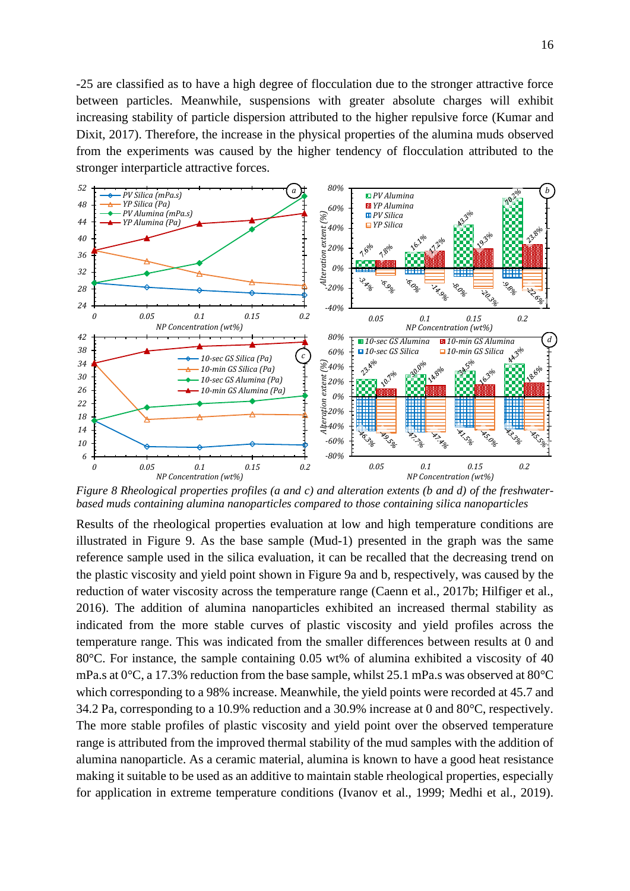-25 are classified as to have a high degree of flocculation due to the stronger attractive force between particles. Meanwhile, suspensions with greater absolute charges will exhibit increasing stability of particle dispersion attributed to the higher repulsive force (Kumar and Dixit, 2017). Therefore, the increase in the physical properties of the alumina muds observed from the experiments was caused by the higher tendency of flocculation attributed to the stronger interparticle attractive forces.



*Figure 8 Rheological properties profiles (a and c) and alteration extents (b and d) of the freshwaterbased muds containing alumina nanoparticles compared to those containing silica nanoparticles*

Results of the rheological properties evaluation at low and high temperature conditions are illustrated in Figure 9. As the base sample (Mud-1) presented in the graph was the same reference sample used in the silica evaluation, it can be recalled that the decreasing trend on the plastic viscosity and yield point shown in Figure 9a and b, respectively, was caused by the reduction of water viscosity across the temperature range (Caenn et al., 2017b; Hilfiger et al., 2016). The addition of alumina nanoparticles exhibited an increased thermal stability as indicated from the more stable curves of plastic viscosity and yield profiles across the temperature range. This was indicated from the smaller differences between results at 0 and 80°C. For instance, the sample containing 0.05 wt% of alumina exhibited a viscosity of 40 mPa.s at 0°C, a 17.3% reduction from the base sample, whilst 25.1 mPa.s was observed at 80°C which corresponding to a 98% increase. Meanwhile, the yield points were recorded at 45.7 and 34.2 Pa, corresponding to a 10.9% reduction and a 30.9% increase at 0 and 80°C, respectively. The more stable profiles of plastic viscosity and yield point over the observed temperature range is attributed from the improved thermal stability of the mud samples with the addition of alumina nanoparticle. As a ceramic material, alumina is known to have a good heat resistance making it suitable to be used as an additive to maintain stable rheological properties, especially for application in extreme temperature conditions (Ivanov et al., 1999; Medhi et al., 2019).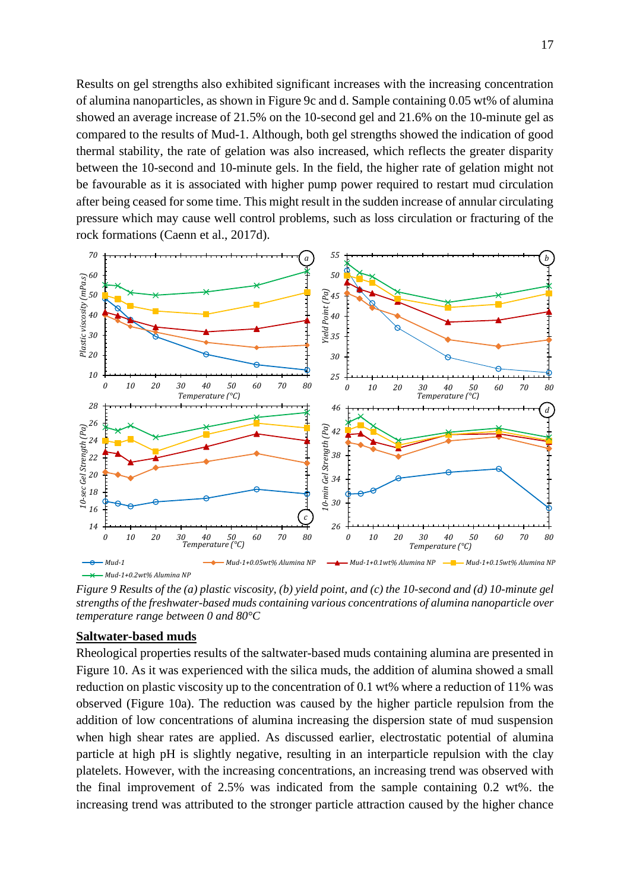Results on gel strengths also exhibited significant increases with the increasing concentration of alumina nanoparticles, as shown in Figure 9c and d. Sample containing 0.05 wt% of alumina showed an average increase of 21.5% on the 10-second gel and 21.6% on the 10-minute gel as compared to the results of Mud-1. Although, both gel strengths showed the indication of good thermal stability, the rate of gelation was also increased, which reflects the greater disparity between the 10-second and 10-minute gels. In the field, the higher rate of gelation might not be favourable as it is associated with higher pump power required to restart mud circulation after being ceased for some time. This might result in the sudden increase of annular circulating pressure which may cause well control problems, such as loss circulation or fracturing of the rock formations (Caenn et al., 2017d).



*Figure 9 Results of the (a) plastic viscosity, (b) yield point, and (c) the 10-second and (d) 10-minute gel strengths of the freshwater-based muds containing various concentrations of alumina nanoparticle over temperature range between 0 and 80°C*

#### **Saltwater-based muds**

Rheological properties results of the saltwater-based muds containing alumina are presented in Figure 10. As it was experienced with the silica muds, the addition of alumina showed a small reduction on plastic viscosity up to the concentration of 0.1 wt% where a reduction of 11% was observed (Figure 10a). The reduction was caused by the higher particle repulsion from the addition of low concentrations of alumina increasing the dispersion state of mud suspension when high shear rates are applied. As discussed earlier, electrostatic potential of alumina particle at high pH is slightly negative, resulting in an interparticle repulsion with the clay platelets. However, with the increasing concentrations, an increasing trend was observed with the final improvement of 2.5% was indicated from the sample containing 0.2 wt%. the increasing trend was attributed to the stronger particle attraction caused by the higher chance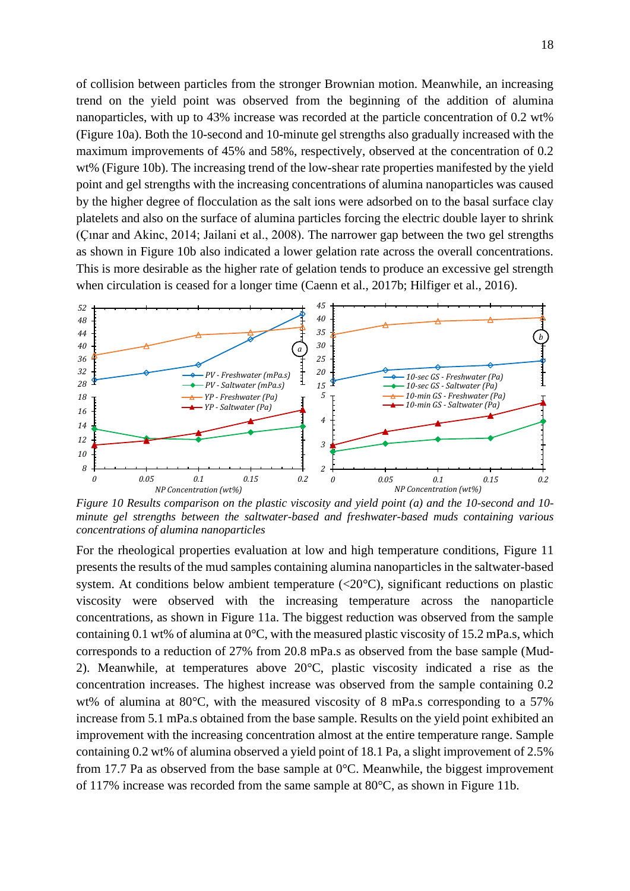of collision between particles from the stronger Brownian motion. Meanwhile, an increasing trend on the yield point was observed from the beginning of the addition of alumina nanoparticles, with up to 43% increase was recorded at the particle concentration of 0.2 wt% (Figure 10a). Both the 10-second and 10-minute gel strengths also gradually increased with the maximum improvements of 45% and 58%, respectively, observed at the concentration of 0.2 wt% (Figure 10b). The increasing trend of the low-shear rate properties manifested by the yield point and gel strengths with the increasing concentrations of alumina nanoparticles was caused by the higher degree of flocculation as the salt ions were adsorbed on to the basal surface clay platelets and also on the surface of alumina particles forcing the electric double layer to shrink (Çınar and Akinc, 2014; Jailani et al., 2008). The narrower gap between the two gel strengths as shown in Figure 10b also indicated a lower gelation rate across the overall concentrations. This is more desirable as the higher rate of gelation tends to produce an excessive gel strength when circulation is ceased for a longer time (Caenn et al., 2017b; Hilfiger et al., 2016).



*Figure 10 Results comparison on the plastic viscosity and yield point (a) and the 10-second and 10 minute gel strengths between the saltwater-based and freshwater-based muds containing various concentrations of alumina nanoparticles*

For the rheological properties evaluation at low and high temperature conditions, Figure 11 presents the results of the mud samples containing alumina nanoparticles in the saltwater-based system. At conditions below ambient temperature (<20°C), significant reductions on plastic viscosity were observed with the increasing temperature across the nanoparticle concentrations, as shown in Figure 11a. The biggest reduction was observed from the sample containing 0.1 wt% of alumina at  $0^{\circ}$ C, with the measured plastic viscosity of 15.2 mPa.s, which corresponds to a reduction of 27% from 20.8 mPa.s as observed from the base sample (Mud-2). Meanwhile, at temperatures above 20°C, plastic viscosity indicated a rise as the concentration increases. The highest increase was observed from the sample containing 0.2 wt% of alumina at 80°C, with the measured viscosity of 8 mPa.s corresponding to a 57% increase from 5.1 mPa.s obtained from the base sample. Results on the yield point exhibited an improvement with the increasing concentration almost at the entire temperature range. Sample containing 0.2 wt% of alumina observed a yield point of 18.1 Pa, a slight improvement of 2.5% from 17.7 Pa as observed from the base sample at 0°C. Meanwhile, the biggest improvement of 117% increase was recorded from the same sample at 80°C, as shown in Figure 11b.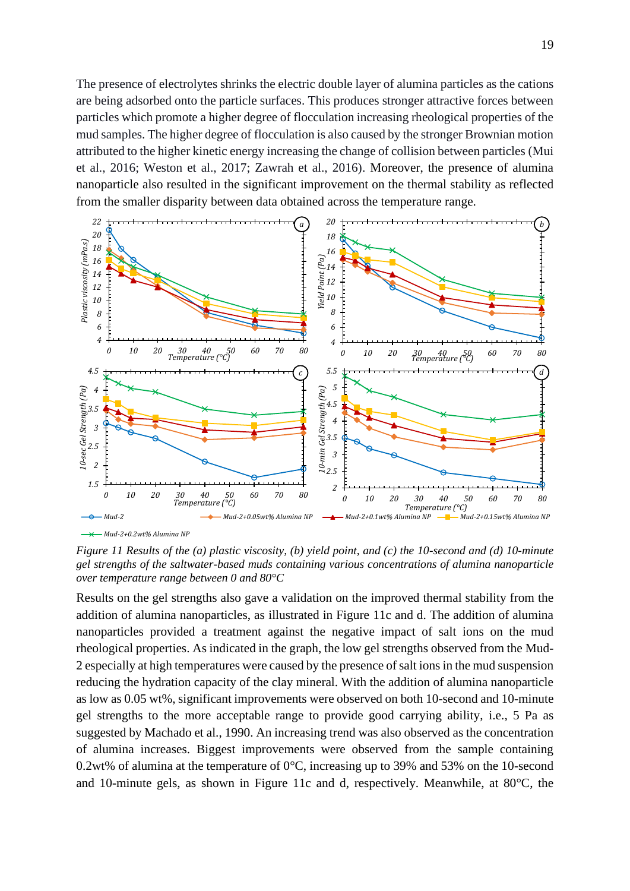The presence of electrolytes shrinks the electric double layer of alumina particles as the cations are being adsorbed onto the particle surfaces. This produces stronger attractive forces between particles which promote a higher degree of flocculation increasing rheological properties of the mud samples. The higher degree of flocculation is also caused by the stronger Brownian motion attributed to the higher kinetic energy increasing the change of collision between particles (Mui et al., 2016; Weston et al., 2017; Zawrah et al., 2016). Moreover, the presence of alumina nanoparticle also resulted in the significant improvement on the thermal stability as reflected from the smaller disparity between data obtained across the temperature range.



*Mud-2+0.2wt% Alumina NP*

*Figure 11 Results of the (a) plastic viscosity, (b) yield point, and (c) the 10-second and (d) 10-minute gel strengths of the saltwater-based muds containing various concentrations of alumina nanoparticle over temperature range between 0 and 80°C*

Results on the gel strengths also gave a validation on the improved thermal stability from the addition of alumina nanoparticles, as illustrated in Figure 11c and d. The addition of alumina nanoparticles provided a treatment against the negative impact of salt ions on the mud rheological properties. As indicated in the graph, the low gel strengths observed from the Mud-2 especially at high temperatures were caused by the presence of salt ions in the mud suspension reducing the hydration capacity of the clay mineral. With the addition of alumina nanoparticle as low as 0.05 wt%, significant improvements were observed on both 10-second and 10-minute gel strengths to the more acceptable range to provide good carrying ability, i.e., 5 Pa as suggested by Machado et al., 1990. An increasing trend was also observed as the concentration of alumina increases. Biggest improvements were observed from the sample containing 0.2wt% of alumina at the temperature of 0°C, increasing up to 39% and 53% on the 10-second and 10-minute gels, as shown in Figure 11c and d, respectively. Meanwhile, at 80°C, the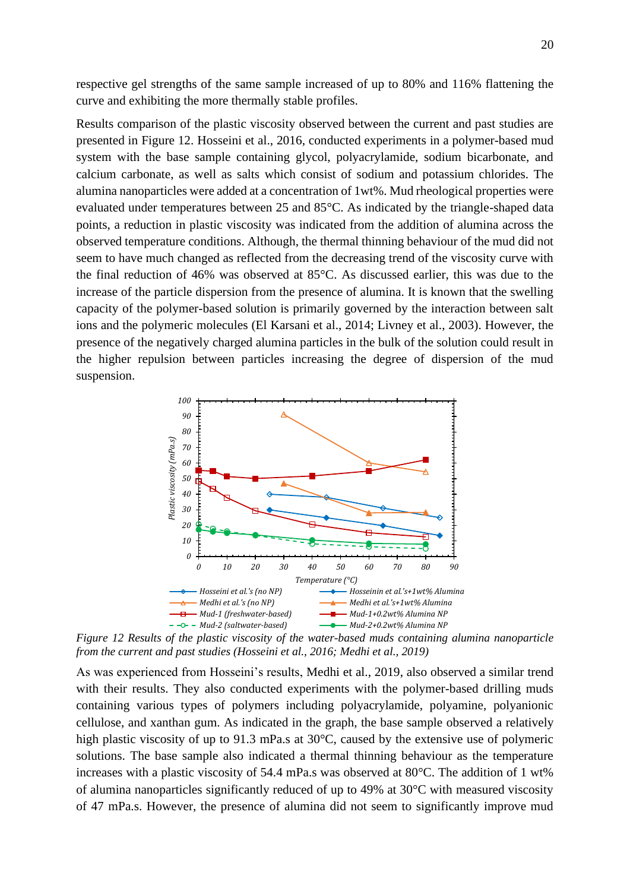respective gel strengths of the same sample increased of up to 80% and 116% flattening the curve and exhibiting the more thermally stable profiles.

Results comparison of the plastic viscosity observed between the current and past studies are presented in Figure 12. Hosseini et al., 2016, conducted experiments in a polymer-based mud system with the base sample containing glycol, polyacrylamide, sodium bicarbonate, and calcium carbonate, as well as salts which consist of sodium and potassium chlorides. The alumina nanoparticles were added at a concentration of 1wt%. Mud rheological properties were evaluated under temperatures between 25 and 85°C. As indicated by the triangle-shaped data points, a reduction in plastic viscosity was indicated from the addition of alumina across the observed temperature conditions. Although, the thermal thinning behaviour of the mud did not seem to have much changed as reflected from the decreasing trend of the viscosity curve with the final reduction of 46% was observed at 85°C. As discussed earlier, this was due to the increase of the particle dispersion from the presence of alumina. It is known that the swelling capacity of the polymer-based solution is primarily governed by the interaction between salt ions and the polymeric molecules (El Karsani et al., 2014; Livney et al., 2003). However, the presence of the negatively charged alumina particles in the bulk of the solution could result in the higher repulsion between particles increasing the degree of dispersion of the mud suspension.



*Figure 12 Results of the plastic viscosity of the water-based muds containing alumina nanoparticle from the current and past studies (Hosseini et al., 2016; Medhi et al., 2019)*

As was experienced from Hosseini's results, Medhi et al., 2019, also observed a similar trend with their results. They also conducted experiments with the polymer-based drilling muds containing various types of polymers including polyacrylamide, polyamine, polyanionic cellulose, and xanthan gum. As indicated in the graph, the base sample observed a relatively high plastic viscosity of up to 91.3 mPa.s at 30°C, caused by the extensive use of polymeric solutions. The base sample also indicated a thermal thinning behaviour as the temperature increases with a plastic viscosity of 54.4 mPa.s was observed at 80°C. The addition of 1 wt% of alumina nanoparticles significantly reduced of up to 49% at 30°C with measured viscosity of 47 mPa.s. However, the presence of alumina did not seem to significantly improve mud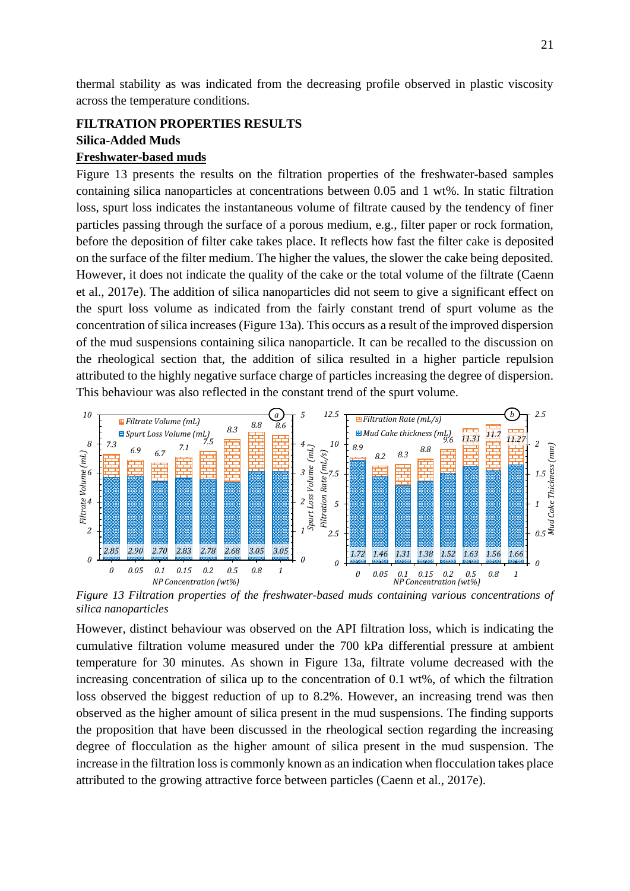thermal stability as was indicated from the decreasing profile observed in plastic viscosity across the temperature conditions.

## **FILTRATION PROPERTIES RESULTS Silica-Added Muds Freshwater-based muds**

Figure 13 presents the results on the filtration properties of the freshwater-based samples containing silica nanoparticles at concentrations between 0.05 and 1 wt%. In static filtration loss, spurt loss indicates the instantaneous volume of filtrate caused by the tendency of finer particles passing through the surface of a porous medium, e.g., filter paper or rock formation, before the deposition of filter cake takes place. It reflects how fast the filter cake is deposited on the surface of the filter medium. The higher the values, the slower the cake being deposited. However, it does not indicate the quality of the cake or the total volume of the filtrate (Caenn et al., 2017e). The addition of silica nanoparticles did not seem to give a significant effect on the spurt loss volume as indicated from the fairly constant trend of spurt volume as the concentration of silica increases (Figure 13a). This occurs as a result of the improved dispersion of the mud suspensions containing silica nanoparticle. It can be recalled to the discussion on the rheological section that, the addition of silica resulted in a higher particle repulsion attributed to the highly negative surface charge of particles increasing the degree of dispersion. This behaviour was also reflected in the constant trend of the spurt volume.



*Figure 13 Filtration properties of the freshwater-based muds containing various concentrations of silica nanoparticles*

However, distinct behaviour was observed on the API filtration loss, which is indicating the cumulative filtration volume measured under the 700 kPa differential pressure at ambient temperature for 30 minutes. As shown in Figure 13a, filtrate volume decreased with the increasing concentration of silica up to the concentration of 0.1 wt%, of which the filtration loss observed the biggest reduction of up to 8.2%. However, an increasing trend was then observed as the higher amount of silica present in the mud suspensions. The finding supports the proposition that have been discussed in the rheological section regarding the increasing degree of flocculation as the higher amount of silica present in the mud suspension. The increase in the filtration loss is commonly known as an indication when flocculation takes place attributed to the growing attractive force between particles (Caenn et al., 2017e).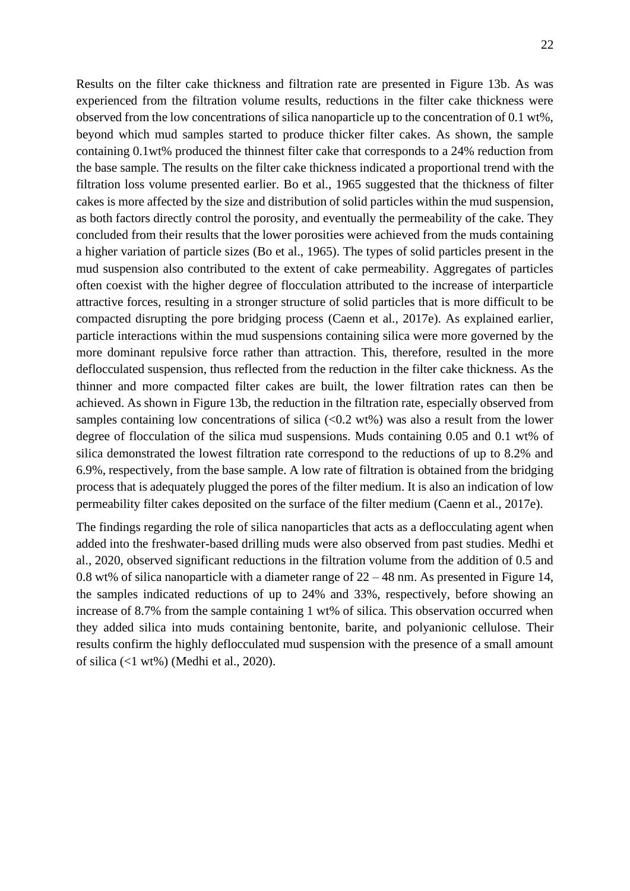Results on the filter cake thickness and filtration rate are presented in Figure 13b. As was experienced from the filtration volume results, reductions in the filter cake thickness were observed from the low concentrations of silica nanoparticle up to the concentration of 0.1 wt%, beyond which mud samples started to produce thicker filter cakes. As shown, the sample containing 0.1wt% produced the thinnest filter cake that corresponds to a 24% reduction from the base sample. The results on the filter cake thickness indicated a proportional trend with the filtration loss volume presented earlier. Bo et al., 1965 suggested that the thickness of filter cakes is more affected by the size and distribution of solid particles within the mud suspension, as both factors directly control the porosity, and eventually the permeability of the cake. They concluded from their results that the lower porosities were achieved from the muds containing a higher variation of particle sizes (Bo et al., 1965). The types of solid particles present in the mud suspension also contributed to the extent of cake permeability. Aggregates of particles often coexist with the higher degree of flocculation attributed to the increase of interparticle attractive forces, resulting in a stronger structure of solid particles that is more difficult to be compacted disrupting the pore bridging process (Caenn et al., 2017e). As explained earlier, particle interactions within the mud suspensions containing silica were more governed by the more dominant repulsive force rather than attraction. This, therefore, resulted in the more deflocculated suspension, thus reflected from the reduction in the filter cake thickness. As the thinner and more compacted filter cakes are built, the lower filtration rates can then be achieved. As shown in Figure 13b, the reduction in the filtration rate, especially observed from samples containing low concentrations of silica  $(<0.2 \text{ wt\%})$  was also a result from the lower degree of flocculation of the silica mud suspensions. Muds containing 0.05 and 0.1 wt% of silica demonstrated the lowest filtration rate correspond to the reductions of up to 8.2% and 6.9%, respectively, from the base sample. A low rate of filtration is obtained from the bridging process that is adequately plugged the pores of the filter medium. It is also an indication of low permeability filter cakes deposited on the surface of the filter medium (Caenn et al., 2017e).

The findings regarding the role of silica nanoparticles that acts as a deflocculating agent when added into the freshwater-based drilling muds were also observed from past studies. Medhi et al., 2020, observed significant reductions in the filtration volume from the addition of 0.5 and 0.8 wt% of silica nanoparticle with a diameter range of  $22 - 48$  nm. As presented in Figure 14, the samples indicated reductions of up to 24% and 33%, respectively, before showing an increase of 8.7% from the sample containing 1 wt% of silica. This observation occurred when they added silica into muds containing bentonite, barite, and polyanionic cellulose. Their results confirm the highly deflocculated mud suspension with the presence of a small amount of silica (<1 wt%) (Medhi et al., 2020).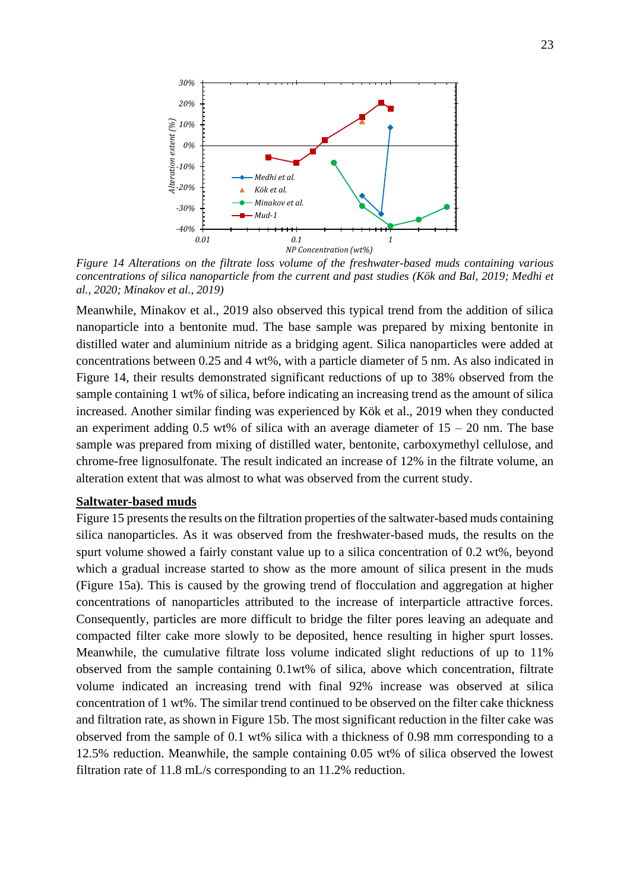

*Figure 14 Alterations on the filtrate loss volume of the freshwater-based muds containing various concentrations of silica nanoparticle from the current and past studies (Kök and Bal, 2019; Medhi et al., 2020; Minakov et al., 2019)*

Meanwhile, Minakov et al., 2019 also observed this typical trend from the addition of silica nanoparticle into a bentonite mud. The base sample was prepared by mixing bentonite in distilled water and aluminium nitride as a bridging agent. Silica nanoparticles were added at concentrations between 0.25 and 4 wt%, with a particle diameter of 5 nm. As also indicated in Figure 14, their results demonstrated significant reductions of up to 38% observed from the sample containing 1 wt% of silica, before indicating an increasing trend as the amount of silica increased. Another similar finding was experienced by Kök et al., 2019 when they conducted an experiment adding 0.5 wt% of silica with an average diameter of  $15 - 20$  nm. The base sample was prepared from mixing of distilled water, bentonite, carboxymethyl cellulose, and chrome-free lignosulfonate. The result indicated an increase of 12% in the filtrate volume, an alteration extent that was almost to what was observed from the current study.

#### **Saltwater-based muds**

Figure 15 presents the results on the filtration properties of the saltwater-based muds containing silica nanoparticles. As it was observed from the freshwater-based muds, the results on the spurt volume showed a fairly constant value up to a silica concentration of 0.2 wt%, beyond which a gradual increase started to show as the more amount of silica present in the muds (Figure 15a). This is caused by the growing trend of flocculation and aggregation at higher concentrations of nanoparticles attributed to the increase of interparticle attractive forces. Consequently, particles are more difficult to bridge the filter pores leaving an adequate and compacted filter cake more slowly to be deposited, hence resulting in higher spurt losses. Meanwhile, the cumulative filtrate loss volume indicated slight reductions of up to 11% observed from the sample containing 0.1wt% of silica, above which concentration, filtrate volume indicated an increasing trend with final 92% increase was observed at silica concentration of 1 wt%. The similar trend continued to be observed on the filter cake thickness and filtration rate, as shown in Figure 15b. The most significant reduction in the filter cake was observed from the sample of 0.1 wt% silica with a thickness of 0.98 mm corresponding to a 12.5% reduction. Meanwhile, the sample containing 0.05 wt% of silica observed the lowest filtration rate of 11.8 mL/s corresponding to an 11.2% reduction.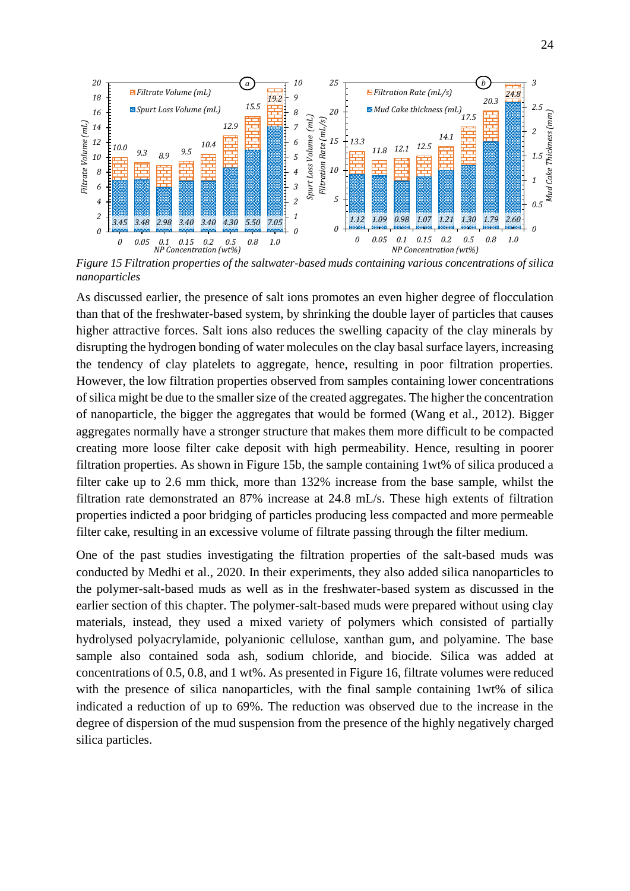

*Figure 15 Filtration properties of the saltwater-based muds containing various concentrations of silica nanoparticles*

As discussed earlier, the presence of salt ions promotes an even higher degree of flocculation than that of the freshwater-based system, by shrinking the double layer of particles that causes higher attractive forces. Salt ions also reduces the swelling capacity of the clay minerals by disrupting the hydrogen bonding of water molecules on the clay basal surface layers, increasing the tendency of clay platelets to aggregate, hence, resulting in poor filtration properties. However, the low filtration properties observed from samples containing lower concentrations of silica might be due to the smaller size of the created aggregates. The higher the concentration of nanoparticle, the bigger the aggregates that would be formed (Wang et al., 2012). Bigger aggregates normally have a stronger structure that makes them more difficult to be compacted creating more loose filter cake deposit with high permeability. Hence, resulting in poorer filtration properties. As shown in Figure 15b, the sample containing 1wt% of silica produced a filter cake up to 2.6 mm thick, more than 132% increase from the base sample, whilst the filtration rate demonstrated an 87% increase at 24.8 mL/s. These high extents of filtration properties indicted a poor bridging of particles producing less compacted and more permeable filter cake, resulting in an excessive volume of filtrate passing through the filter medium.

One of the past studies investigating the filtration properties of the salt-based muds was conducted by Medhi et al., 2020. In their experiments, they also added silica nanoparticles to the polymer-salt-based muds as well as in the freshwater-based system as discussed in the earlier section of this chapter. The polymer-salt-based muds were prepared without using clay materials, instead, they used a mixed variety of polymers which consisted of partially hydrolysed polyacrylamide, polyanionic cellulose, xanthan gum, and polyamine. The base sample also contained soda ash, sodium chloride, and biocide. Silica was added at concentrations of 0.5, 0.8, and 1 wt%. As presented in Figure 16, filtrate volumes were reduced with the presence of silica nanoparticles, with the final sample containing 1wt% of silica indicated a reduction of up to 69%. The reduction was observed due to the increase in the degree of dispersion of the mud suspension from the presence of the highly negatively charged silica particles.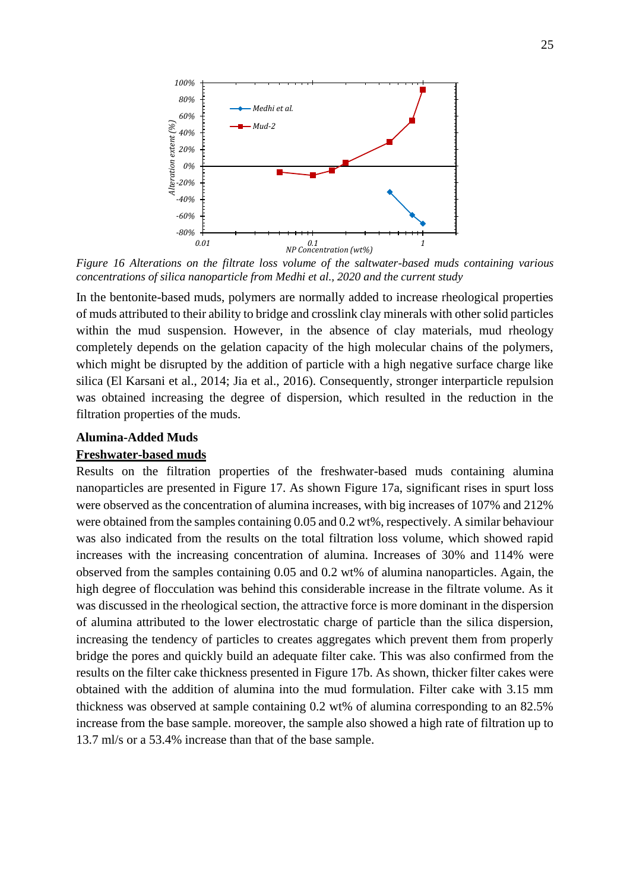

*Figure 16 Alterations on the filtrate loss volume of the saltwater-based muds containing various concentrations of silica nanoparticle from Medhi et al., 2020 and the current study*

In the bentonite-based muds, polymers are normally added to increase rheological properties of muds attributed to their ability to bridge and crosslink clay minerals with other solid particles within the mud suspension. However, in the absence of clay materials, mud rheology completely depends on the gelation capacity of the high molecular chains of the polymers, which might be disrupted by the addition of particle with a high negative surface charge like silica (El Karsani et al., 2014; Jia et al., 2016). Consequently, stronger interparticle repulsion was obtained increasing the degree of dispersion, which resulted in the reduction in the filtration properties of the muds.

## **Alumina-Added Muds**

#### **Freshwater-based muds**

Results on the filtration properties of the freshwater-based muds containing alumina nanoparticles are presented in Figure 17. As shown Figure 17a, significant rises in spurt loss were observed as the concentration of alumina increases, with big increases of 107% and 212% were obtained from the samples containing 0.05 and 0.2 wt%, respectively. A similar behaviour was also indicated from the results on the total filtration loss volume, which showed rapid increases with the increasing concentration of alumina. Increases of 30% and 114% were observed from the samples containing 0.05 and 0.2 wt% of alumina nanoparticles. Again, the high degree of flocculation was behind this considerable increase in the filtrate volume. As it was discussed in the rheological section, the attractive force is more dominant in the dispersion of alumina attributed to the lower electrostatic charge of particle than the silica dispersion, increasing the tendency of particles to creates aggregates which prevent them from properly bridge the pores and quickly build an adequate filter cake. This was also confirmed from the results on the filter cake thickness presented in Figure 17b. As shown, thicker filter cakes were obtained with the addition of alumina into the mud formulation. Filter cake with 3.15 mm thickness was observed at sample containing 0.2 wt% of alumina corresponding to an 82.5% increase from the base sample. moreover, the sample also showed a high rate of filtration up to 13.7 ml/s or a 53.4% increase than that of the base sample.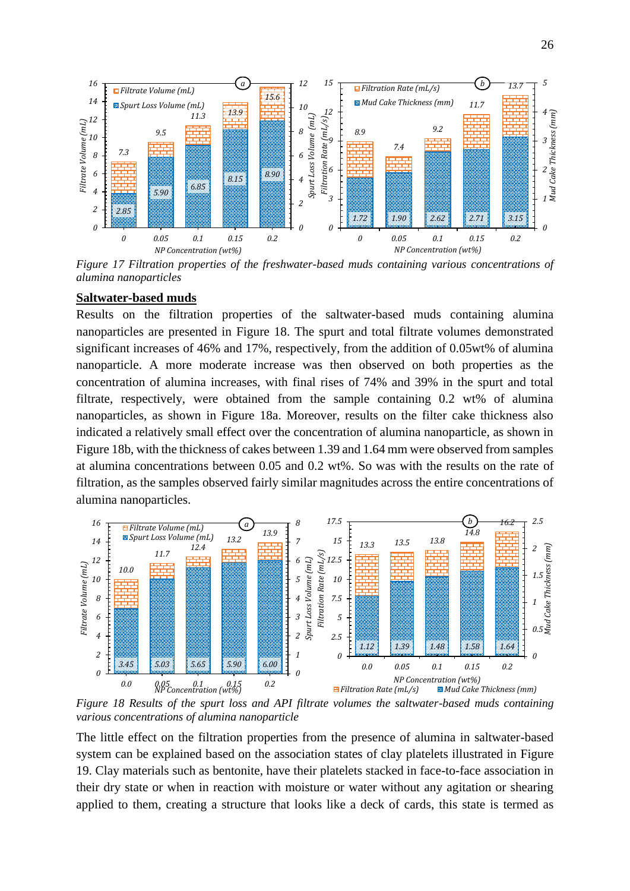

*Figure 17 Filtration properties of the freshwater-based muds containing various concentrations of alumina nanoparticles* 

#### **Saltwater-based muds**

Results on the filtration properties of the saltwater-based muds containing alumina nanoparticles are presented in Figure 18. The spurt and total filtrate volumes demonstrated significant increases of 46% and 17%, respectively, from the addition of 0.05wt% of alumina nanoparticle. A more moderate increase was then observed on both properties as the concentration of alumina increases, with final rises of 74% and 39% in the spurt and total filtrate, respectively, were obtained from the sample containing 0.2 wt% of alumina nanoparticles, as shown in Figure 18a. Moreover, results on the filter cake thickness also indicated a relatively small effect over the concentration of alumina nanoparticle, as shown in Figure 18b, with the thickness of cakes between 1.39 and 1.64 mm were observed from samples at alumina concentrations between 0.05 and 0.2 wt%. So was with the results on the rate of filtration, as the samples observed fairly similar magnitudes across the entire concentrations of alumina nanoparticles.



*Figure 18 Results of the spurt loss and API filtrate volumes the saltwater-based muds containing various concentrations of alumina nanoparticle* 

The little effect on the filtration properties from the presence of alumina in saltwater-based system can be explained based on the association states of clay platelets illustrated in Figure 19. Clay materials such as bentonite, have their platelets stacked in face-to-face association in their dry state or when in reaction with moisture or water without any agitation or shearing applied to them, creating a structure that looks like a deck of cards, this state is termed as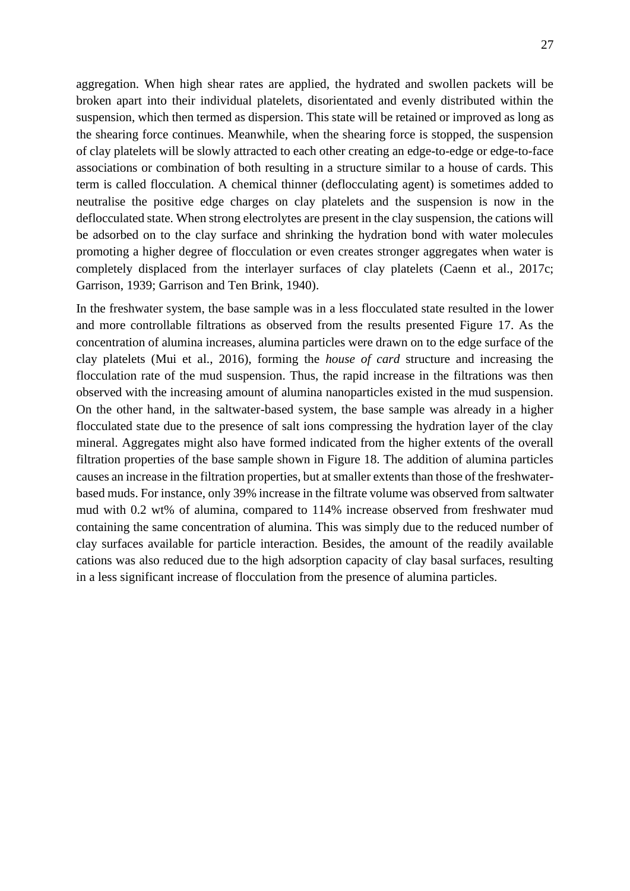aggregation. When high shear rates are applied, the hydrated and swollen packets will be broken apart into their individual platelets, disorientated and evenly distributed within the suspension, which then termed as dispersion. This state will be retained or improved as long as the shearing force continues. Meanwhile, when the shearing force is stopped, the suspension of clay platelets will be slowly attracted to each other creating an edge-to-edge or edge-to-face associations or combination of both resulting in a structure similar to a house of cards. This term is called flocculation. A chemical thinner (deflocculating agent) is sometimes added to neutralise the positive edge charges on clay platelets and the suspension is now in the deflocculated state. When strong electrolytes are present in the clay suspension, the cations will be adsorbed on to the clay surface and shrinking the hydration bond with water molecules promoting a higher degree of flocculation or even creates stronger aggregates when water is completely displaced from the interlayer surfaces of clay platelets (Caenn et al., 2017c; Garrison, 1939; Garrison and Ten Brink, 1940).

In the freshwater system, the base sample was in a less flocculated state resulted in the lower and more controllable filtrations as observed from the results presented Figure 17. As the concentration of alumina increases, alumina particles were drawn on to the edge surface of the clay platelets (Mui et al., 2016), forming the *house of card* structure and increasing the flocculation rate of the mud suspension. Thus, the rapid increase in the filtrations was then observed with the increasing amount of alumina nanoparticles existed in the mud suspension. On the other hand, in the saltwater-based system, the base sample was already in a higher flocculated state due to the presence of salt ions compressing the hydration layer of the clay mineral. Aggregates might also have formed indicated from the higher extents of the overall filtration properties of the base sample shown in Figure 18. The addition of alumina particles causes an increase in the filtration properties, but at smaller extents than those of the freshwaterbased muds. For instance, only 39% increase in the filtrate volume was observed from saltwater mud with 0.2 wt% of alumina, compared to 114% increase observed from freshwater mud containing the same concentration of alumina. This was simply due to the reduced number of clay surfaces available for particle interaction. Besides, the amount of the readily available cations was also reduced due to the high adsorption capacity of clay basal surfaces, resulting in a less significant increase of flocculation from the presence of alumina particles.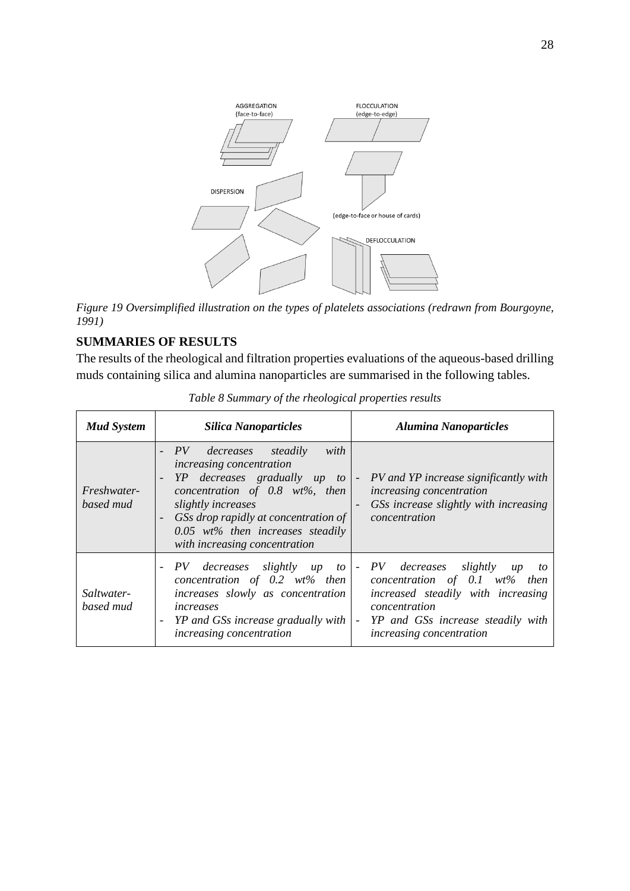

*Figure 19 Oversimplified illustration on the types of platelets associations (redrawn from Bourgoyne, 1991)*

## **SUMMARIES OF RESULTS**

The results of the rheological and filtration properties evaluations of the aqueous-based drilling muds containing silica and alumina nanoparticles are summarised in the following tables.

| <b>Mud System</b>        | <b>Silica Nanoparticles</b>                                                                                                                                                                                                                                                                                                | <b>Alumina Nanoparticles</b>                                                                                                                                                                      |  |
|--------------------------|----------------------------------------------------------------------------------------------------------------------------------------------------------------------------------------------------------------------------------------------------------------------------------------------------------------------------|---------------------------------------------------------------------------------------------------------------------------------------------------------------------------------------------------|--|
| Freshwater-<br>based mud | with<br>PV decreases steadily<br>increasing concentration<br>YP decreases gradually up to<br>$\overline{\phantom{a}}$<br>concentration of $0.8$ wt%, then<br>slightly increases<br>GSs drop rapidly at concentration of<br>$\overline{\phantom{a}}$<br>$0.05$ wt% then increases steadily<br>with increasing concentration | - PV and YP increase significantly with<br>increasing concentration<br>GSs increase slightly with increasing<br>concentration                                                                     |  |
| Saltwater-<br>based mud  | PV decreases slightly up to<br>$\overline{\phantom{a}}$<br>concentration of 0.2 $wt\%$ then<br>increases slowly as concentration<br>increases<br>YP and GSs increase gradually with<br>-<br>increasing concentration                                                                                                       | - PV decreases slightly<br>$\mu$<br>to<br>concentration of $0.1$ wt% then<br>increased steadily with increasing<br>concentration<br>YP and GSs increase steadily with<br>increasing concentration |  |

*Table 8 Summary of the rheological properties results*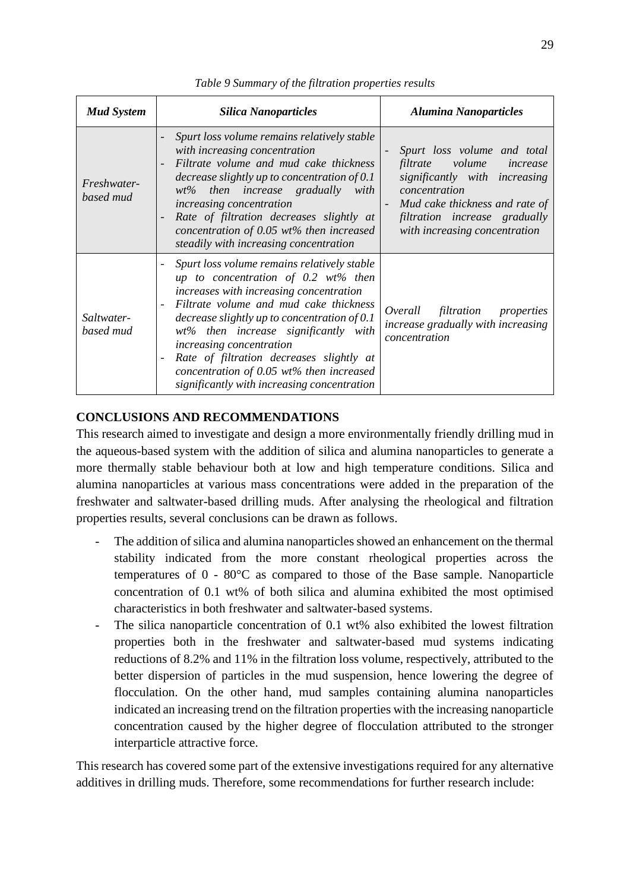| <b>Mud System</b>        | <b>Silica Nanoparticles</b>                                                                                                                                                                                                                                                                                                                                                                                                                                                                               | <b>Alumina Nanoparticles</b>                                                                                                                                                                                        |  |  |
|--------------------------|-----------------------------------------------------------------------------------------------------------------------------------------------------------------------------------------------------------------------------------------------------------------------------------------------------------------------------------------------------------------------------------------------------------------------------------------------------------------------------------------------------------|---------------------------------------------------------------------------------------------------------------------------------------------------------------------------------------------------------------------|--|--|
| Freshwater-<br>based mud | Spurt loss volume remains relatively stable<br>with increasing concentration<br>Filtrate volume and mud cake thickness<br>$\overline{a}$<br>decrease slightly up to concentration of $0.1$<br>$wt\%$ then increase gradually with<br>increasing concentration<br>Rate of filtration decreases slightly at<br>$\overline{\phantom{m}}$<br>concentration of 0.05 $wt\%$ then increased<br>steadily with increasing concentration                                                                            | Spurt loss volume and total<br>volume<br>filtrate<br>increase<br>significantly with increasing<br>concentration<br>Mud cake thickness and rate of<br>filtration increase gradually<br>with increasing concentration |  |  |
| Saltwater-<br>based mud  | Spurt loss volume remains relatively stable<br>$\overline{\phantom{a}}$<br>up to concentration of $0.2 \text{ wt\%}$ then<br>increases with increasing concentration<br>Filtrate volume and mud cake thickness<br>$\overline{\phantom{a}}$<br>decrease slightly up to concentration of $0.1$<br>wt% then increase significantly with<br>increasing concentration<br>Rate of filtration decreases slightly at<br>concentration of $0.05$ wt% then increased<br>significantly with increasing concentration | filtration properties<br>Overall<br>increase gradually with increasing<br>concentration                                                                                                                             |  |  |

*Table 9 Summary of the filtration properties results*

### **CONCLUSIONS AND RECOMMENDATIONS**

This research aimed to investigate and design a more environmentally friendly drilling mud in the aqueous-based system with the addition of silica and alumina nanoparticles to generate a more thermally stable behaviour both at low and high temperature conditions. Silica and alumina nanoparticles at various mass concentrations were added in the preparation of the freshwater and saltwater-based drilling muds. After analysing the rheological and filtration properties results, several conclusions can be drawn as follows.

- The addition of silica and alumina nanoparticles showed an enhancement on the thermal stability indicated from the more constant rheological properties across the temperatures of 0 - 80°C as compared to those of the Base sample. Nanoparticle concentration of 0.1 wt% of both silica and alumina exhibited the most optimised characteristics in both freshwater and saltwater-based systems.
- The silica nanoparticle concentration of 0.1 wt% also exhibited the lowest filtration properties both in the freshwater and saltwater-based mud systems indicating reductions of 8.2% and 11% in the filtration loss volume, respectively, attributed to the better dispersion of particles in the mud suspension, hence lowering the degree of flocculation. On the other hand, mud samples containing alumina nanoparticles indicated an increasing trend on the filtration properties with the increasing nanoparticle concentration caused by the higher degree of flocculation attributed to the stronger interparticle attractive force.

This research has covered some part of the extensive investigations required for any alternative additives in drilling muds. Therefore, some recommendations for further research include: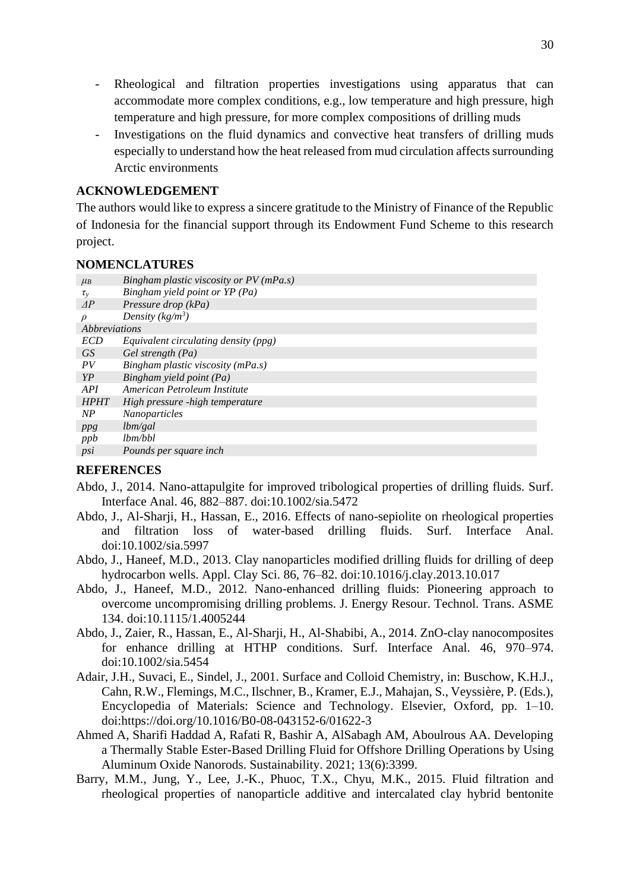- Rheological and filtration properties investigations using apparatus that can accommodate more complex conditions, e.g., low temperature and high pressure, high temperature and high pressure, for more complex compositions of drilling muds
- Investigations on the fluid dynamics and convective heat transfers of drilling muds especially to understand how the heat released from mud circulation affects surrounding Arctic environments

#### **ACKNOWLEDGEMENT**

The authors would like to express a sincere gratitude to the Ministry of Finance of the Republic of Indonesia for the financial support through its Endowment Fund Scheme to this research project.

#### **NOMENCLATURES**

| $\mu_B$        | Bingham plastic viscosity or PV (mPa.s) |
|----------------|-----------------------------------------|
| $\tau_{\rm v}$ | Bingham yield point or YP (Pa)          |
| AP             | Pressure drop (kPa)                     |
| $\rho$         | Density ( $kg/m^3$ )                    |
| Abbreviations  |                                         |
| <b>ECD</b>     | Equivalent circulating density (ppg)    |
| <i>GS</i>      | Gel strength (Pa)                       |
| PV             | Bingham plastic viscosity (mPa.s)       |
| YP             | Bingham yield point (Pa)                |
| API            | American Petroleum Institute            |
| <b>HPHT</b>    | High pressure -high temperature         |
| NP             | <b>Nanoparticles</b>                    |
| ppg            | lbm/gal                                 |
| ppb            | lbm/bbl                                 |
| psi            | Pounds per square inch                  |

#### **REFERENCES**

- Abdo, J., 2014. Nano-attapulgite for improved tribological properties of drilling fluids. Surf. Interface Anal. 46, 882–887. doi:10.1002/sia.5472
- Abdo, J., Al-Sharji, H., Hassan, E., 2016. Effects of nano-sepiolite on rheological properties and filtration loss of water-based drilling fluids. Surf. Interface Anal. doi:10.1002/sia.5997
- Abdo, J., Haneef, M.D., 2013. Clay nanoparticles modified drilling fluids for drilling of deep hydrocarbon wells. Appl. Clay Sci. 86, 76–82. doi:10.1016/j.clay.2013.10.017
- Abdo, J., Haneef, M.D., 2012. Nano-enhanced drilling fluids: Pioneering approach to overcome uncompromising drilling problems. J. Energy Resour. Technol. Trans. ASME 134. doi:10.1115/1.4005244
- Abdo, J., Zaier, R., Hassan, E., Al-Sharji, H., Al-Shabibi, A., 2014. ZnO-clay nanocomposites for enhance drilling at HTHP conditions. Surf. Interface Anal. 46, 970–974. doi:10.1002/sia.5454
- Adair, J.H., Suvaci, E., Sindel, J., 2001. Surface and Colloid Chemistry, in: Buschow, K.H.J., Cahn, R.W., Flemings, M.C., Ilschner, B., Kramer, E.J., Mahajan, S., Veyssière, P. (Eds.), Encyclopedia of Materials: Science and Technology. Elsevier, Oxford, pp. 1–10. doi:https://doi.org/10.1016/B0-08-043152-6/01622-3
- Ahmed A, Sharifi Haddad A, Rafati R, Bashir A, AlSabagh AM, Aboulrous AA. Developing a Thermally Stable Ester-Based Drilling Fluid for Offshore Drilling Operations by Using Aluminum Oxide Nanorods. Sustainability. 2021; 13(6):3399.
- Barry, M.M., Jung, Y., Lee, J.-K., Phuoc, T.X., Chyu, M.K., 2015. Fluid filtration and rheological properties of nanoparticle additive and intercalated clay hybrid bentonite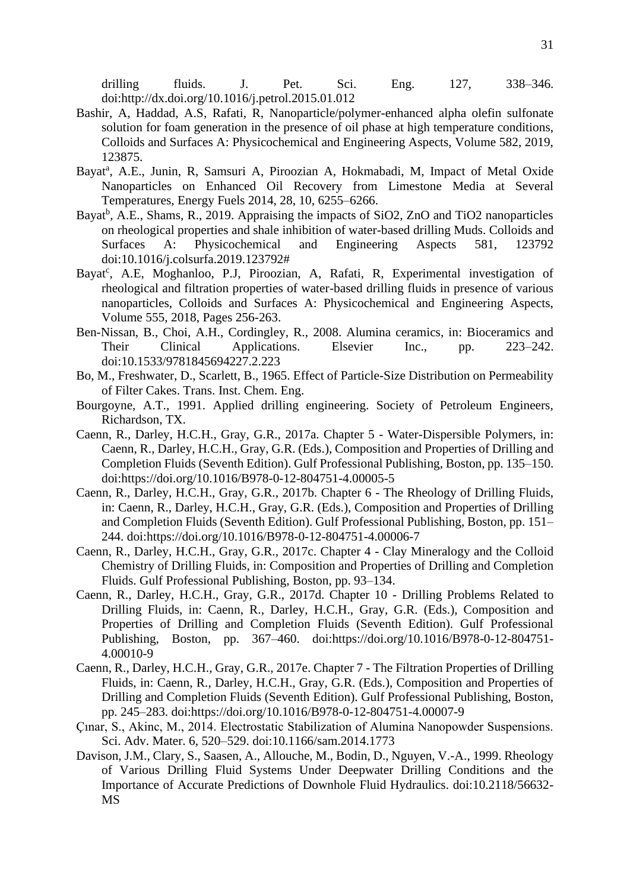drilling fluids. J. Pet. Sci. Eng. 127, 338–346. doi:http://dx.doi.org/10.1016/j.petrol.2015.01.012

- Bashir, A, Haddad, A.S, Rafati, R, Nanoparticle/polymer-enhanced alpha olefin sulfonate solution for foam generation in the presence of oil phase at high temperature conditions, Colloids and Surfaces A: Physicochemical and Engineering Aspects, Volume 582, 2019, 123875.
- Bayat<sup>a</sup>, A.E., Junin, R, Samsuri A, Piroozian A, Hokmabadi, M, Impact of Metal Oxide Nanoparticles on Enhanced Oil Recovery from Limestone Media at Several Temperatures, Energy Fuels 2014, 28, 10, 6255–6266.
- Bayat<sup>b</sup>, A.E., Shams, R., 2019. Appraising the impacts of SiO2, ZnO and TiO2 nanoparticles on rheological properties and shale inhibition of water-based drilling Muds. Colloids and Surfaces A: Physicochemical and Engineering Aspects 581, 123792 doi:10.1016/j.colsurfa.2019.123792#
- Bayat<sup>c</sup>, A.E, Moghanloo, P.J, Piroozian, A, Rafati, R, Experimental investigation of rheological and filtration properties of water-based drilling fluids in presence of various nanoparticles, Colloids and Surfaces A: Physicochemical and Engineering Aspects, Volume 555, 2018, Pages 256-263.
- Ben-Nissan, B., Choi, A.H., Cordingley, R., 2008. Alumina ceramics, in: Bioceramics and Their Clinical Applications. Elsevier Inc., pp. 223–242. doi:10.1533/9781845694227.2.223
- Bo, M., Freshwater, D., Scarlett, B., 1965. Effect of Particle-Size Distribution on Permeability of Filter Cakes. Trans. Inst. Chem. Eng.
- Bourgoyne, A.T., 1991. Applied drilling engineering. Society of Petroleum Engineers, Richardson, TX.
- Caenn, R., Darley, H.C.H., Gray, G.R., 2017a. Chapter 5 Water-Dispersible Polymers, in: Caenn, R., Darley, H.C.H., Gray, G.R. (Eds.), Composition and Properties of Drilling and Completion Fluids (Seventh Edition). Gulf Professional Publishing, Boston, pp. 135–150. doi:https://doi.org/10.1016/B978-0-12-804751-4.00005-5
- Caenn, R., Darley, H.C.H., Gray, G.R., 2017b. Chapter 6 The Rheology of Drilling Fluids, in: Caenn, R., Darley, H.C.H., Gray, G.R. (Eds.), Composition and Properties of Drilling and Completion Fluids (Seventh Edition). Gulf Professional Publishing, Boston, pp. 151– 244. doi:https://doi.org/10.1016/B978-0-12-804751-4.00006-7
- Caenn, R., Darley, H.C.H., Gray, G.R., 2017c. Chapter 4 Clay Mineralogy and the Colloid Chemistry of Drilling Fluids, in: Composition and Properties of Drilling and Completion Fluids. Gulf Professional Publishing, Boston, pp. 93–134.
- Caenn, R., Darley, H.C.H., Gray, G.R., 2017d. Chapter 10 Drilling Problems Related to Drilling Fluids, in: Caenn, R., Darley, H.C.H., Gray, G.R. (Eds.), Composition and Properties of Drilling and Completion Fluids (Seventh Edition). Gulf Professional Publishing, Boston, pp. 367–460. doi:https://doi.org/10.1016/B978-0-12-804751- 4.00010-9
- Caenn, R., Darley, H.C.H., Gray, G.R., 2017e. Chapter 7 The Filtration Properties of Drilling Fluids, in: Caenn, R., Darley, H.C.H., Gray, G.R. (Eds.), Composition and Properties of Drilling and Completion Fluids (Seventh Edition). Gulf Professional Publishing, Boston, pp. 245–283. doi:https://doi.org/10.1016/B978-0-12-804751-4.00007-9
- Çınar, S., Akinc, M., 2014. Electrostatic Stabilization of Alumina Nanopowder Suspensions. Sci. Adv. Mater. 6, 520–529. doi:10.1166/sam.2014.1773
- Davison, J.M., Clary, S., Saasen, A., Allouche, M., Bodin, D., Nguyen, V.-A., 1999. Rheology of Various Drilling Fluid Systems Under Deepwater Drilling Conditions and the Importance of Accurate Predictions of Downhole Fluid Hydraulics. doi:10.2118/56632- MS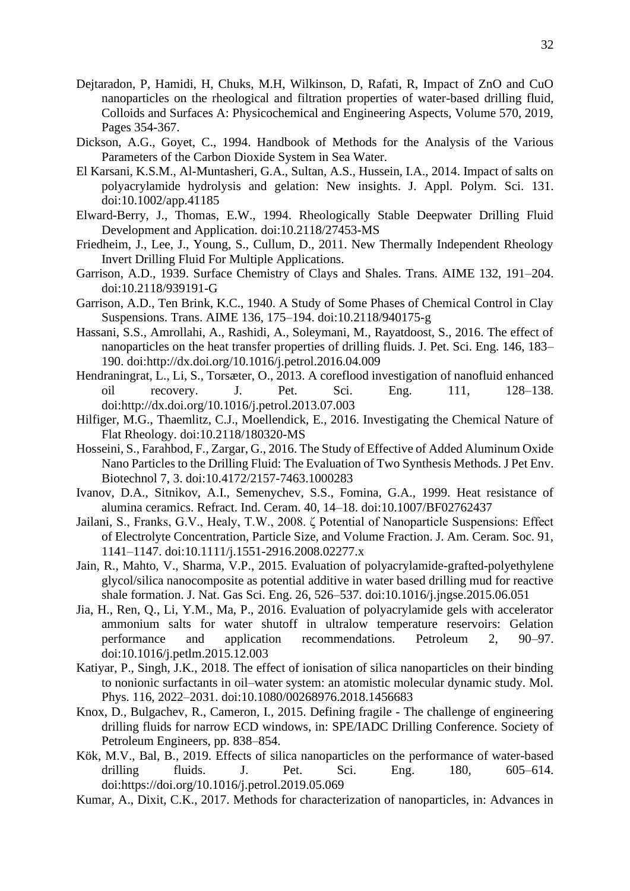- Dejtaradon, P, Hamidi, H, Chuks, M.H, Wilkinson, D, Rafati, R, Impact of ZnO and CuO nanoparticles on the rheological and filtration properties of water-based drilling fluid, Colloids and Surfaces A: Physicochemical and Engineering Aspects, Volume 570, 2019, Pages 354-367.
- Dickson, A.G., Goyet, C., 1994. Handbook of Methods for the Analysis of the Various Parameters of the Carbon Dioxide System in Sea Water.
- El Karsani, K.S.M., Al-Muntasheri, G.A., Sultan, A.S., Hussein, I.A., 2014. Impact of salts on polyacrylamide hydrolysis and gelation: New insights. J. Appl. Polym. Sci. 131. doi:10.1002/app.41185
- Elward-Berry, J., Thomas, E.W., 1994. Rheologically Stable Deepwater Drilling Fluid Development and Application. doi:10.2118/27453-MS
- Friedheim, J., Lee, J., Young, S., Cullum, D., 2011. New Thermally Independent Rheology Invert Drilling Fluid For Multiple Applications.
- Garrison, A.D., 1939. Surface Chemistry of Clays and Shales. Trans. AIME 132, 191–204. doi:10.2118/939191-G
- Garrison, A.D., Ten Brink, K.C., 1940. A Study of Some Phases of Chemical Control in Clay Suspensions. Trans. AIME 136, 175–194. doi:10.2118/940175-g
- Hassani, S.S., Amrollahi, A., Rashidi, A., Soleymani, M., Rayatdoost, S., 2016. The effect of nanoparticles on the heat transfer properties of drilling fluids. J. Pet. Sci. Eng. 146, 183– 190. doi:http://dx.doi.org/10.1016/j.petrol.2016.04.009
- Hendraningrat, L., Li, S., Torsæter, O., 2013. A coreflood investigation of nanofluid enhanced oil recovery. J. Pet. Sci. Eng. 111, 128–138. doi:http://dx.doi.org/10.1016/j.petrol.2013.07.003
- Hilfiger, M.G., Thaemlitz, C.J., Moellendick, E., 2016. Investigating the Chemical Nature of Flat Rheology. doi:10.2118/180320-MS
- Hosseini, S., Farahbod, F., Zargar, G., 2016. The Study of Effective of Added Aluminum Oxide Nano Particles to the Drilling Fluid: The Evaluation of Two Synthesis Methods. J Pet Env. Biotechnol 7, 3. doi:10.4172/2157-7463.1000283
- Ivanov, D.A., Sitnikov, A.I., Semenychev, S.S., Fomina, G.A., 1999. Heat resistance of alumina ceramics. Refract. Ind. Ceram. 40, 14–18. doi:10.1007/BF02762437
- Jailani, S., Franks, G.V., Healy, T.W., 2008. ζ Potential of Nanoparticle Suspensions: Effect of Electrolyte Concentration, Particle Size, and Volume Fraction. J. Am. Ceram. Soc. 91, 1141–1147. doi:10.1111/j.1551-2916.2008.02277.x
- Jain, R., Mahto, V., Sharma, V.P., 2015. Evaluation of polyacrylamide-grafted-polyethylene glycol/silica nanocomposite as potential additive in water based drilling mud for reactive shale formation. J. Nat. Gas Sci. Eng. 26, 526–537. doi:10.1016/j.jngse.2015.06.051
- Jia, H., Ren, Q., Li, Y.M., Ma, P., 2016. Evaluation of polyacrylamide gels with accelerator ammonium salts for water shutoff in ultralow temperature reservoirs: Gelation performance and application recommendations. Petroleum 2, 90–97. doi:10.1016/j.petlm.2015.12.003
- Katiyar, P., Singh, J.K., 2018. The effect of ionisation of silica nanoparticles on their binding to nonionic surfactants in oil–water system: an atomistic molecular dynamic study. Mol. Phys. 116, 2022–2031. doi:10.1080/00268976.2018.1456683
- Knox, D., Bulgachev, R., Cameron, I., 2015. Defining fragile The challenge of engineering drilling fluids for narrow ECD windows, in: SPE/IADC Drilling Conference. Society of Petroleum Engineers, pp. 838–854.
- Kök, M.V., Bal, B., 2019. Effects of silica nanoparticles on the performance of water-based drilling fluids. J. Pet. Sci. Eng. 180, 605–614. doi:https://doi.org/10.1016/j.petrol.2019.05.069
- Kumar, A., Dixit, C.K., 2017. Methods for characterization of nanoparticles, in: Advances in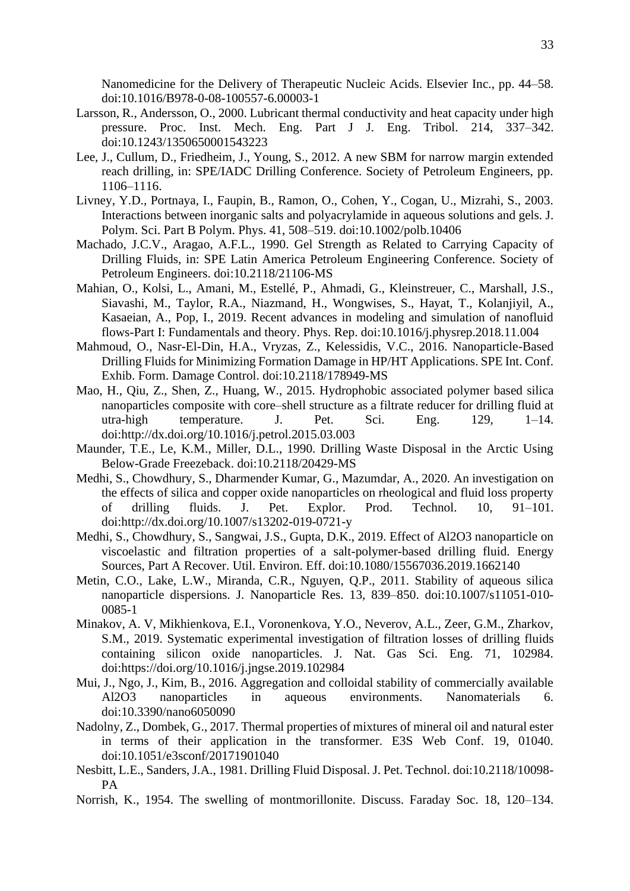Nanomedicine for the Delivery of Therapeutic Nucleic Acids. Elsevier Inc., pp. 44–58. doi:10.1016/B978-0-08-100557-6.00003-1

- Larsson, R., Andersson, O., 2000. Lubricant thermal conductivity and heat capacity under high pressure. Proc. Inst. Mech. Eng. Part J J. Eng. Tribol. 214, 337–342. doi:10.1243/1350650001543223
- Lee, J., Cullum, D., Friedheim, J., Young, S., 2012. A new SBM for narrow margin extended reach drilling, in: SPE/IADC Drilling Conference. Society of Petroleum Engineers, pp. 1106–1116.
- Livney, Y.D., Portnaya, I., Faupin, B., Ramon, O., Cohen, Y., Cogan, U., Mizrahi, S., 2003. Interactions between inorganic salts and polyacrylamide in aqueous solutions and gels. J. Polym. Sci. Part B Polym. Phys. 41, 508–519. doi:10.1002/polb.10406
- Machado, J.C.V., Aragao, A.F.L., 1990. Gel Strength as Related to Carrying Capacity of Drilling Fluids, in: SPE Latin America Petroleum Engineering Conference. Society of Petroleum Engineers. doi:10.2118/21106-MS
- Mahian, O., Kolsi, L., Amani, M., Estellé, P., Ahmadi, G., Kleinstreuer, C., Marshall, J.S., Siavashi, M., Taylor, R.A., Niazmand, H., Wongwises, S., Hayat, T., Kolanjiyil, A., Kasaeian, A., Pop, I., 2019. Recent advances in modeling and simulation of nanofluid flows-Part I: Fundamentals and theory. Phys. Rep. doi:10.1016/j.physrep.2018.11.004
- Mahmoud, O., Nasr-El-Din, H.A., Vryzas, Z., Kelessidis, V.C., 2016. Nanoparticle-Based Drilling Fluids for Minimizing Formation Damage in HP/HT Applications. SPE Int. Conf. Exhib. Form. Damage Control. doi:10.2118/178949-MS
- Mao, H., Qiu, Z., Shen, Z., Huang, W., 2015. Hydrophobic associated polymer based silica nanoparticles composite with core–shell structure as a filtrate reducer for drilling fluid at utra-high temperature. J. Pet. Sci. Eng. 129, 1–14. doi:http://dx.doi.org/10.1016/j.petrol.2015.03.003
- Maunder, T.E., Le, K.M., Miller, D.L., 1990. Drilling Waste Disposal in the Arctic Using Below-Grade Freezeback. doi:10.2118/20429-MS
- Medhi, S., Chowdhury, S., Dharmender Kumar, G., Mazumdar, A., 2020. An investigation on the effects of silica and copper oxide nanoparticles on rheological and fluid loss property of drilling fluids. J. Pet. Explor. Prod. Technol. 10, 91–101. doi:http://dx.doi.org/10.1007/s13202-019-0721-y
- Medhi, S., Chowdhury, S., Sangwai, J.S., Gupta, D.K., 2019. Effect of Al2O3 nanoparticle on viscoelastic and filtration properties of a salt-polymer-based drilling fluid. Energy Sources, Part A Recover. Util. Environ. Eff. doi:10.1080/15567036.2019.1662140
- Metin, C.O., Lake, L.W., Miranda, C.R., Nguyen, Q.P., 2011. Stability of aqueous silica nanoparticle dispersions. J. Nanoparticle Res. 13, 839–850. doi:10.1007/s11051-010- 0085-1
- Minakov, A. V, Mikhienkova, E.I., Voronenkova, Y.O., Neverov, A.L., Zeer, G.M., Zharkov, S.M., 2019. Systematic experimental investigation of filtration losses of drilling fluids containing silicon oxide nanoparticles. J. Nat. Gas Sci. Eng. 71, 102984. doi:https://doi.org/10.1016/j.jngse.2019.102984
- Mui, J., Ngo, J., Kim, B., 2016. Aggregation and colloidal stability of commercially available Al2O3 nanoparticles in aqueous environments. Nanomaterials 6. doi:10.3390/nano6050090
- Nadolny, Z., Dombek, G., 2017. Thermal properties of mixtures of mineral oil and natural ester in terms of their application in the transformer. E3S Web Conf. 19, 01040. doi:10.1051/e3sconf/20171901040
- Nesbitt, L.E., Sanders, J.A., 1981. Drilling Fluid Disposal. J. Pet. Technol. doi:10.2118/10098- PA
- Norrish, K., 1954. The swelling of montmorillonite. Discuss. Faraday Soc. 18, 120–134.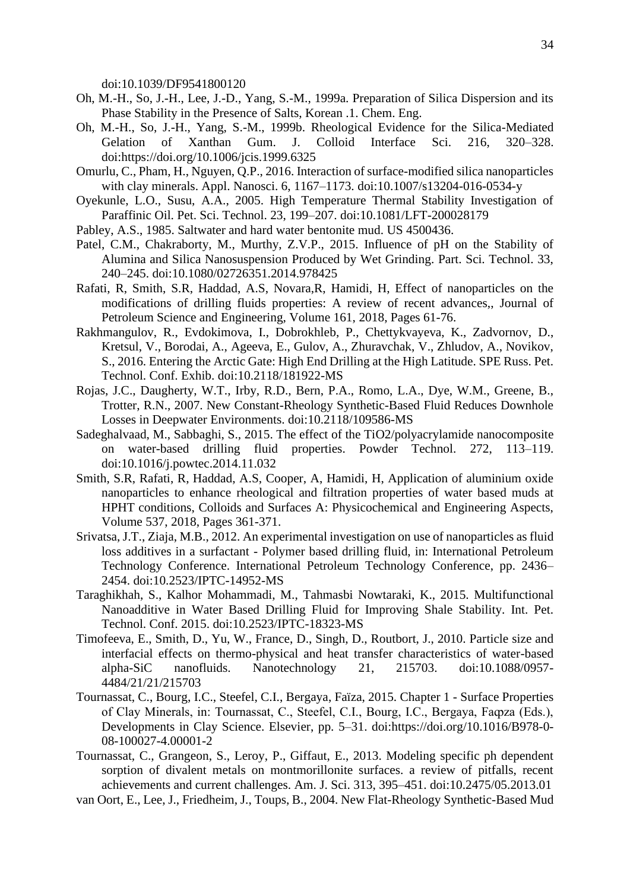doi:10.1039/DF9541800120

- Oh, M.-H., So, J.-H., Lee, J.-D., Yang, S.-M., 1999a. Preparation of Silica Dispersion and its Phase Stability in the Presence of Salts, Korean .1. Chem. Eng.
- Oh, M.-H., So, J.-H., Yang, S.-M., 1999b. Rheological Evidence for the Silica-Mediated Gelation of Xanthan Gum. J. Colloid Interface Sci. 216, 320–328. doi:https://doi.org/10.1006/jcis.1999.6325
- Omurlu, C., Pham, H., Nguyen, Q.P., 2016. Interaction of surface-modified silica nanoparticles with clay minerals. Appl. Nanosci. 6, 1167–1173. doi:10.1007/s13204-016-0534-y
- Oyekunle, L.O., Susu, A.A., 2005. High Temperature Thermal Stability Investigation of Paraffinic Oil. Pet. Sci. Technol. 23, 199–207. doi:10.1081/LFT-200028179
- Pabley, A.S., 1985. Saltwater and hard water bentonite mud. US 4500436.
- Patel, C.M., Chakraborty, M., Murthy, Z.V.P., 2015. Influence of pH on the Stability of Alumina and Silica Nanosuspension Produced by Wet Grinding. Part. Sci. Technol. 33, 240–245. doi:10.1080/02726351.2014.978425
- Rafati, R, Smith, S.R, Haddad, A.S, Novara,R, Hamidi, H, Effect of nanoparticles on the modifications of drilling fluids properties: A review of recent advances,, Journal of Petroleum Science and Engineering, Volume 161, 2018, Pages 61-76.
- Rakhmangulov, R., Evdokimova, I., Dobrokhleb, P., Chettykvayeva, K., Zadvornov, D., Kretsul, V., Borodai, A., Ageeva, E., Gulov, A., Zhuravchak, V., Zhludov, A., Novikov, S., 2016. Entering the Arctic Gate: High End Drilling at the High Latitude. SPE Russ. Pet. Technol. Conf. Exhib. doi:10.2118/181922-MS
- Rojas, J.C., Daugherty, W.T., Irby, R.D., Bern, P.A., Romo, L.A., Dye, W.M., Greene, B., Trotter, R.N., 2007. New Constant-Rheology Synthetic-Based Fluid Reduces Downhole Losses in Deepwater Environments. doi:10.2118/109586-MS
- Sadeghalvaad, M., Sabbaghi, S., 2015. The effect of the TiO2/polyacrylamide nanocomposite on water-based drilling fluid properties. Powder Technol. 272, 113–119. doi:10.1016/j.powtec.2014.11.032
- Smith, S.R, Rafati, R, Haddad, A.S, Cooper, A, Hamidi, H, Application of aluminium oxide nanoparticles to enhance rheological and filtration properties of water based muds at HPHT conditions, Colloids and Surfaces A: Physicochemical and Engineering Aspects, Volume 537, 2018, Pages 361-371.
- Srivatsa, J.T., Ziaja, M.B., 2012. An experimental investigation on use of nanoparticles as fluid loss additives in a surfactant - Polymer based drilling fluid, in: International Petroleum Technology Conference. International Petroleum Technology Conference, pp. 2436– 2454. doi:10.2523/IPTC-14952-MS
- Taraghikhah, S., Kalhor Mohammadi, M., Tahmasbi Nowtaraki, K., 2015. Multifunctional Nanoadditive in Water Based Drilling Fluid for Improving Shale Stability. Int. Pet. Technol. Conf. 2015. doi:10.2523/IPTC-18323-MS
- Timofeeva, E., Smith, D., Yu, W., France, D., Singh, D., Routbort, J., 2010. Particle size and interfacial effects on thermo-physical and heat transfer characteristics of water-based alpha-SiC nanofluids. Nanotechnology 21, 215703. doi:10.1088/0957- 4484/21/21/215703
- Tournassat, C., Bourg, I.C., Steefel, C.I., Bergaya, Faïza, 2015. Chapter 1 Surface Properties of Clay Minerals, in: Tournassat, C., Steefel, C.I., Bourg, I.C., Bergaya, Faqoza (Eds.), Developments in Clay Science. Elsevier, pp. 5–31. doi:https://doi.org/10.1016/B978-0- 08-100027-4.00001-2
- Tournassat, C., Grangeon, S., Leroy, P., Giffaut, E., 2013. Modeling specific ph dependent sorption of divalent metals on montmorillonite surfaces. a review of pitfalls, recent achievements and current challenges. Am. J. Sci. 313, 395–451. doi:10.2475/05.2013.01
- van Oort, E., Lee, J., Friedheim, J., Toups, B., 2004. New Flat-Rheology Synthetic-Based Mud